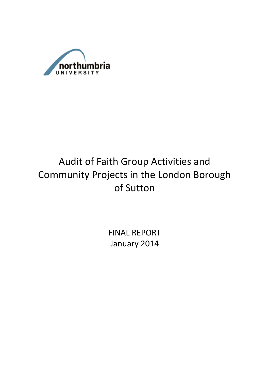

# Audit of Faith Group Activities and Community Projects in the London Borough of Sutton

FINAL REPORT January 2014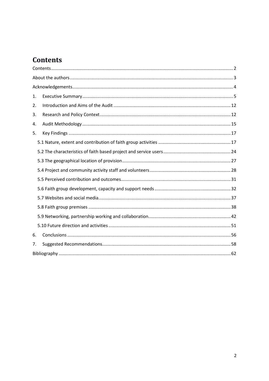## **Contents**

| 1. |  |  |  |  |
|----|--|--|--|--|
| 2. |  |  |  |  |
| 3. |  |  |  |  |
| 4. |  |  |  |  |
| 5. |  |  |  |  |
|    |  |  |  |  |
|    |  |  |  |  |
|    |  |  |  |  |
|    |  |  |  |  |
|    |  |  |  |  |
|    |  |  |  |  |
|    |  |  |  |  |
|    |  |  |  |  |
|    |  |  |  |  |
|    |  |  |  |  |
| 6. |  |  |  |  |
| 7. |  |  |  |  |
|    |  |  |  |  |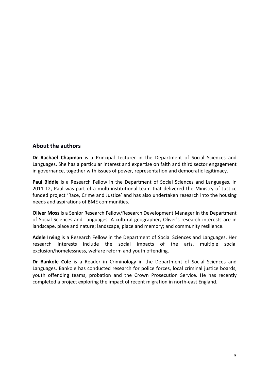## **About the authors**

**Dr Rachael Chapman** is a Principal Lecturer in the Department of Social Sciences and Languages. She has a particular interest and expertise on faith and third sector engagement in governance, together with issues of power, representation and democratic legitimacy.

**Paul Biddle** is a Research Fellow in the Department of Social Sciences and Languages. In 2011-12, Paul was part of a multi-institutional team that delivered the Ministry of Justice funded project 'Race, Crime and Justice' and has also undertaken research into the housing needs and aspirations of BME communities.

**Oliver Moss** is a Senior Research Fellow/Research Development Manager in the Department of Social Sciences and Languages. A cultural geographer, Oliver's research interests are in landscape, place and nature; landscape, place and memory; and community resilience.

**Adele Irving** is a Research Fellow in the Department of Social Sciences and Languages. Her research interests include the social impacts of the arts, multiple social exclusion/homelessness, welfare reform and youth offending.

**Dr Bankole Cole** is a Reader in Criminology in the Department of Social Sciences and Languages. Bankole has conducted research for police forces, local criminal justice boards, youth offending teams, probation and the Crown Prosecution Service. He has recently completed a project exploring the impact of recent migration in north-east England.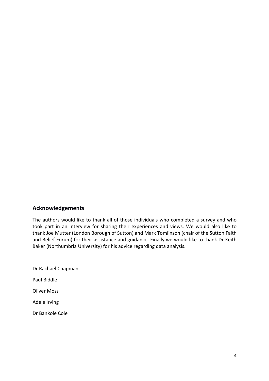## **Acknowledgements**

The authors would like to thank all of those individuals who completed a survey and who took part in an interview for sharing their experiences and views. We would also like to thank Joe Mutter (London Borough of Sutton) and Mark Tomlinson (chair of the Sutton Faith and Belief Forum) for their assistance and guidance. Finally we would like to thank Dr Keith Baker (Northumbria University) for his advice regarding data analysis.

Dr Rachael Chapman Paul Biddle Oliver Moss Adele Irving Dr Bankole Cole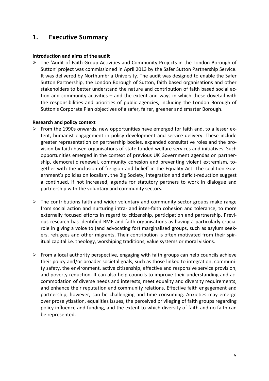## **1. Executive Summary**

#### **Introduction and aims of the audit**

 $\triangleright$  The 'Audit of Faith Group Activities and Community Projects in the London Borough of Sutton' project was commissioned in April 2013 by the Safer Sutton Partnership Service. It was delivered by Northumbria University. The audit was designed to enable the Safer Sutton Partnership, the London Borough of Sutton, faith based organisations and other stakeholders to better understand the nature and contribution of faith based social action and community activities – and the extent and ways in which these dovetail with the responsibilities and priorities of public agencies, including the London Borough of Sutton's Corporate Plan objectives of a safer, fairer, greener and smarter Borough.

#### **Research and policy context**

- $\triangleright$  From the 1990s onwards, new opportunities have emerged for faith and, to a lesser extent, humanist engagement in policy development and service delivery. These include greater representation on partnership bodies, expanded consultative roles and the provision by faith-based organisations of state funded welfare services and initiatives. Such opportunities emerged in the context of previous UK Government agendas on partnership, democratic renewal, community cohesion and preventing violent extremism, together with the inclusion of 'religion and belief' in the Equality Act. The coalition Government's policies on localism, the Big Society, integration and deficit-reduction suggest a continued, if not increased, agenda for statutory partners to work in dialogue and partnership with the voluntary and community sectors.
- $\triangleright$  The contributions faith and wider voluntary and community sector groups make range from social action and nurturing intra- and inter-faith cohesion and tolerance, to more externally focused efforts in regard to citizenship, participation and partnership. Previous research has identified BME and faith organisations as having a particularly crucial role in giving a voice to (and advocating for) marginalised groups, such as asylum seekers, refugees and other migrants. Their contribution is often motivated from their spiritual capital i.e. theology, worshiping traditions, value systems or moral visions.
- $\triangleright$  From a local authority perspective, engaging with faith groups can help councils achieve their policy and/or broader societal goals, such as those linked to integration, community safety, the environment, active citizenship, effective and responsive service provision, and poverty reduction. It can also help councils to improve their understanding and accommodation of diverse needs and interests, meet equality and diversity requirements, and enhance their reputation and community relations. Effective faith engagement and partnership, however, can be challenging and time consuming. Anxieties may emerge over proselytisation, equalities issues, the perceived privileging of faith groups regarding policy influence and funding, and the extent to which diversity of faith and no faith can be represented.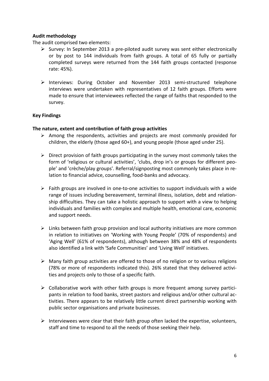## **Audit methodology**

The audit comprised two elements:

- $\triangleright$  Survey: In September 2013 a pre-piloted audit survey was sent either electronically or by post to 144 individuals from faith groups. A total of 65 fully or partially completed surveys were returned from the 144 faith groups contacted (response rate: 45%).
- $\triangleright$  Interviews: During October and November 2013 semi-structured telephone interviews were undertaken with representatives of 12 faith groups. Efforts were made to ensure that interviewees reflected the range of faiths that responded to the survey.

## **Key Findings**

#### **The nature, extent and contribution of faith group activities**

- $\triangleright$  Among the respondents, activities and projects are most commonly provided for children, the elderly (those aged 60+), and young people (those aged under 25).
- $\triangleright$  Direct provision of faith groups participating in the survey most commonly takes the form of 'religious or cultural activities', 'clubs, drop in's or groups for different people' and 'crèche/play groups'. Referral/signposting most commonly takes place in relation to financial advice, counselling, food-banks and advocacy.
- $\triangleright$  Faith groups are involved in one-to-one activities to support individuals with a wide range of issues including bereavement, terminal illness, isolation, debt and relationship difficulties. They can take a holistic approach to support with a view to helping individuals and families with complex and multiple health, emotional care, economic and support needs.
- $\triangleright$  Links between faith group provision and local authority initiatives are more common in relation to initiatives on 'Working with Young People' (70% of respondents) and 'Aging Well' (61% of respondents), although between 38% and 48% of respondents also identified a link with 'Safe Communities' and 'Living Well' initiatives.
- $\triangleright$  Many faith group activities are offered to those of no religion or to various religions (78% or more of respondents indicated this). 26% stated that they delivered activities and projects only to those of a specific faith.
- $\triangleright$  Collaborative work with other faith groups is more frequent among survey participants in relation to food banks, street pastors and religious and/or other cultural activities. There appears to be relatively little current direct partnership working with public sector organisations and private businesses.
- Interviewees were clear that their faith group often lacked the expertise, volunteers, staff and time to respond to all the needs of those seeking their help.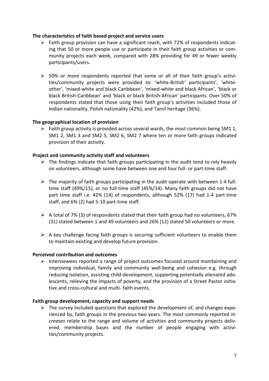#### **The characteristics of faith based project and service users**

- $\triangleright$  Faith group provision can have a significant reach, with 72% of respondents indicating that 50 or more people use or participate in their faith group activities or community projects each week, compared with 28% providing for 49 or fewer weekly participants/users.
- $\geq$  50% or more respondents reported that some or all of their faith group's activities/community projects were provided to: 'white-British' participants', 'whiteother', 'mixed-white and black Caribbean', 'mixed-white and black African', 'black or black British-Caribbean' and 'black or black British-African' participants. Over 50% of respondents stated that those using their faith group's activities included those of Indian nationality, Polish nationality (42%), and Tamil heritage (36%).

#### **The geographical location of provision**

 $\triangleright$  Faith group activity is provided across several wards, the most common being SM1 1, SM1 2, SM1 3 and SM2 5, SM2 6, SM2 7 where ten or more faith groups indicated provision of their activity.

#### **Project and community activity staff and volunteers**

- $\triangleright$  The findings indicate that faith groups participating in the audit tend to rely heavily on volunteers, although some have between one and four full- or part-time staff.
- $\triangleright$  The majority of faith groups participating in the audit operate with between 1-4 fulltime staff (49%/15), or no full-time staff (45%/14). Many faith groups did not have part time staff i.e. 42% (14) of respondents, although 52% (17) had 1-4 part-time staff, and 6% (2) had 5-10 part-time staff.
- $\triangleright$  A total of 7% (3) of respondents stated that their faith group had no volunteers, 67% (31) stated between 1 and 49 volunteers and 26% (12) stated 50 volunteers or more.
- $\triangleright$  A key challenge facing faith groups is securing sufficient volunteers to enable them to maintain existing and develop future provision.

#### **Perceived contribution and outcomes**

 $\triangleright$  Interviewees reported a range of project outcomes focused around maintaining and improving individual, family and community well-being and cohesion e.g. through reducing isolation, assisting child-development, supporting potentially alienated adolescents, relieving the impacts of poverty, and the provision of a Street Pastor initiative and cross-cultural and multi- faith events.

#### **Faith group development, capacity and support needs**

 $\triangleright$  The survey included questions that explored the development of, and changes experienced by, faith groups in the previous two years. The most commonly reported *increases* relate to the range and volume of activities and community projects delivered, membership bases and the number of people engaging with activities/community projects.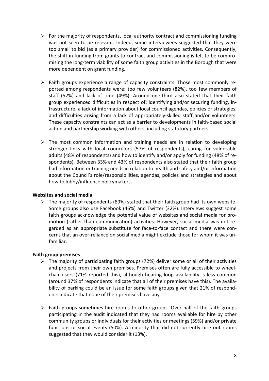- $\triangleright$  For the majority of respondents, local authority contract and commissioning funding was not seen to be relevant. Indeed, some interviewees suggested that they were too small to bid (as a primary provider) for commissioned activities. Consequently, the shift in funding from grants to contract and commissioning is felt to be compromising the long-term viability of some faith group activities in the Borough that were more dependent on grant funding.
- $\triangleright$  Faith groups experience a range of capacity constraints. Those most commonly reported among respondents were: too few volunteers (82%), too few members of staff (52%) and lack of time (49%). Around one-third also stated that their faith group experienced difficulties in respect of: identifying and/or securing funding, infrastructure, a lack of information about local council agendas, policies or strategies, and difficulties arising from a lack of appropriately-skilled staff and/or volunteers. These capacity constraints can act as a barrier to developments in faith-based social action and partnership working with others, including statutory partners.
- $\triangleright$  The most common information and training needs are in relation to developing stronger links with local councillors (57% of respondents), caring for vulnerable adults (48% of respondents) and how to identify and/or apply for funding (48% of respondents). Between 33% and 43% of respondents also stated that their faith group had information or training needs in relation to health and safety and/or information about the Council's role/responsibilities, agendas, policies and strategies and about how to lobby/influence policymakers.

#### **Websites and social media**

 $\triangleright$  The majority of respondents (89%) stated that their faith group had its own website. Some groups also use Facebook (46%) and Twitter (32%). Interviews suggest some faith groups acknowledge the potential value of websites and social media for promotion (rather than communication) activities. However, social media was not regarded as an appropriate substitute for face-to-face contact and there were concerns that an over-reliance on social media might exclude those for whom it was unfamiliar.

## **Faith group premises**

- $\triangleright$  The majority of participating faith groups (72%) deliver some or all of their activities and projects from their own premises. Premises often are fully accessible to wheelchair users (71% reported this), although hearing loop availability is less common (around 37% of respondents indicate that all of their premises have this). The availability of parking could be an issue for some faith groups given that 21% of respondents indicate that none of their premises have any.
- $\triangleright$  Faith groups sometimes hire rooms to other groups. Over half of the faith groups participating in the audit indicated that they had rooms available for hire by other community groups or individuals for their activities or meetings (59%) and/or private functions or social events (50%). A minority that did not currently hire out rooms suggested that they would consider it (13%).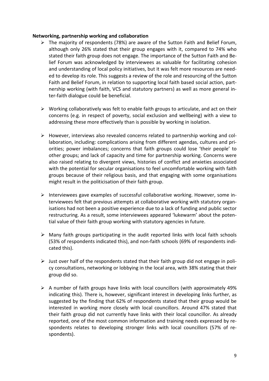#### **Networking, partnership working and collaboration**

- $\triangleright$  The majority of respondents (78%) are aware of the Sutton Faith and Belief Forum, although only 26% stated that their group engages with it, compared to 74% who stated their faith group does not engage. The importance of the Sutton Faith and Belief Forum was acknowledged by interviewees as valuable for facilitating cohesion and understanding of local policy initiatives, but it was felt more resources are needed to develop its role. This suggests a review of the role and resourcing of the Sutton Faith and Belief Forum, in relation to supporting local faith based social action, partnership working (with faith, VCS and statutory partners) as well as more general inter-faith dialogue could be beneficial.
- $\triangleright$  Working collaboratively was felt to enable faith groups to articulate, and act on their concerns (e.g. in respect of poverty, social exclusion and wellbeing) with a view to addressing these more effectively than is possible by working in isolation.
- $\triangleright$  However, interviews also revealed concerns related to partnership working and collaboration, including: complications arising from different agendas, cultures and priorities; power imbalances; concerns that faith groups could lose 'their people' to other groups; and lack of capacity and time for partnership working. Concerns were also raised relating to divergent views, histories of conflict and anxieties associated with the potential for secular organisations to feel uncomfortable working with faith groups because of their religious basis, and that engaging with some organisations might result in the politicisation of their faith group.
- $\triangleright$  Interviewees gave examples of successful collaborative working. However, some interviewees felt that previous attempts at collaborative working with statutory organisations had not been a positive experience due to a lack of funding and public sector restructuring. As a result, some interviewees appeared 'lukewarm' about the potential value of their faith group working with statutory agencies in future.
- $\triangleright$  Many faith groups participating in the audit reported links with local faith schools (53% of respondents indicated this), and non-faith schools (69% of respondents indicated this).
- $\triangleright$  Just over half of the respondents stated that their faith group did not engage in policy consultations, networking or lobbying in the local area, with 38% stating that their group did so.
- $\triangleright$  A number of faith groups have links with local councillors (with approximately 49%) indicating this). There is, however, significant interest in developing links further, as suggested by the finding that 62% of respondents stated that their group would be interested in working more closely with local councillors. Around 47% stated that their faith group did not currently have links with their local councillor. As already reported, one of the most common information and training needs expressed by respondents relates to developing stronger links with local councillors (57% of respondents).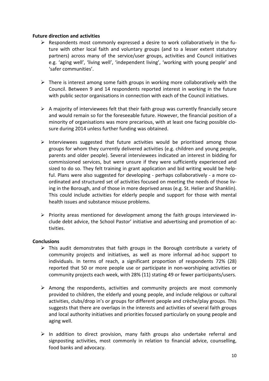#### **Future direction and activities**

- $\triangleright$  Respondents most commonly expressed a desire to work collaboratively in the future with other local faith and voluntary groups (and to a lesser extent statutory partners) across many of the service/user groups, activities and Council initiatives e.g. 'aging well', 'living well', 'independent living', 'working with young people' and 'safer communities'.
- $\triangleright$  There is interest among some faith groups in working more collaboratively with the Council. Between 9 and 14 respondents reported interest in working in the future with public sector organisations in connection with each of the Council initiatives.
- $\triangleright$  A majority of interviewees felt that their faith group was currently financially secure and would remain so for the foreseeable future. However, the financial position of a minority of organisations was more precarious, with at least one facing possible closure during 2014 unless further funding was obtained.
- $\triangleright$  Interviewees suggested that future activities would be prioritised among those groups for whom they currently delivered activities (e.g. children and young people, parents and older people). Several interviewees indicated an interest in bidding for commissioned services, but were unsure if they were sufficiently experienced and sized to do so. They felt training in grant application and bid writing would be helpful. Plans were also suggested for developing - perhaps collaboratively - a more coordinated and structured set of activities focused on meeting the needs of those living in the Borough, and of those in more deprived areas (e.g. St. Helier and Shanklin). This could include activities for elderly people and support for those with mental health issues and substance misuse problems.
- $\triangleright$  Priority areas mentioned for development among the faith groups interviewed include debt advice, the School Pastor' initiative and advertising and promotion of activities.

## **Conclusions**

- $\triangleright$  This audit demonstrates that faith groups in the Borough contribute a variety of community projects and initiatives, as well as more informal ad-hoc support to individuals. In terms of reach, a significant proportion of respondents 72% (28) reported that 50 or more people use or participate in non-worshiping activities or community projects each week, with 28% (11) stating 49 or fewer participants/users.
- $\triangleright$  Among the respondents, activities and community projects are most commonly provided to children, the elderly and young people, and include religious or cultural activities, clubs/drop in's or groups for different people and crèche/play groups. This suggests that there are overlaps in the interests and activities of several faith groups and local authority initiatives and priorities focused particularly on young people and aging well.
- $\triangleright$  In addition to direct provision, many faith groups also undertake referral and signposting activities, most commonly in relation to financial advice, counselling, food banks and advocacy.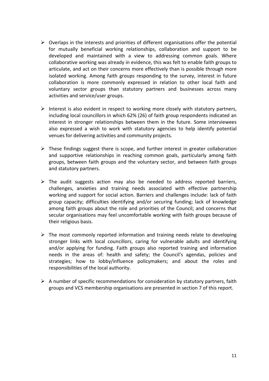- $\triangleright$  Overlaps in the interests and priorities of different organisations offer the potential for mutually beneficial working relationships, collaboration and support to be developed and maintained with a view to addressing common goals. Where collaborative working was already in evidence, this was felt to enable faith groups to articulate, and act on their concerns more effectively than is possible through more isolated working. Among faith groups responding to the survey, interest in future collaboration is more commonly expressed in relation to other local faith and voluntary sector groups than statutory partners and businesses across many activities and service/user groups.
- $\triangleright$  Interest is also evident in respect to working more closely with statutory partners, including local councillors in which 62% (26) of faith group respondents indicated an interest in stronger relationships between them in the future. Some interviewees also expressed a wish to work with statutory agencies to help identify potential venues for delivering activities and community projects.
- $\triangleright$  These findings suggest there is scope, and further interest in greater collaboration and supportive relationships in reaching common goals, particularly among faith groups, between faith groups and the voluntary sector, and between faith groups and statutory partners.
- $\triangleright$  The audit suggests action may also be needed to address reported barriers, challenges, anxieties and training needs associated with effective partnership working and support for social action. Barriers and challenges include: lack of faith group capacity; difficulties identifying and/or securing funding; lack of knowledge among faith groups about the role and priorities of the Council; and concerns that secular organisations may feel uncomfortable working with faith groups because of their religious basis.
- $\triangleright$  The most commonly reported information and training needs relate to developing stronger links with local councillors, caring for vulnerable adults and identifying and/or applying for funding. Faith groups also reported training and information needs in the areas of: health and safety; the Council's agendas, policies and strategies; how to lobby/influence policymakers; and about the roles and responsibilities of the local authority.
- $\triangleright$  A number of specific recommendations for consideration by statutory partners, faith groups and VCS membership organisations are presented in section 7 of this report.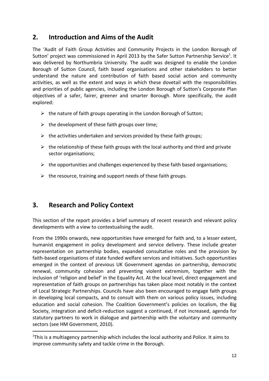## **2. Introduction and Aims of the Audit**

The 'Audit of Faith Group Activities and Community Projects in the London Borough of Sutton' project was commissioned in April 2013 by the Safer Sutton Partnership Service<sup>1</sup>. It was delivered by Northumbria University. The audit was designed to enable the London Borough of Sutton Council, faith based organisations and other stakeholders to better understand the nature and contribution of faith based social action and community activities, as well as the extent and ways in which these dovetail with the responsibilities and priorities of public agencies, including the London Borough of Sutton's Corporate Plan objectives of a safer, fairer, greener and smarter Borough. More specifically, the audit explored:

- $\triangleright$  the nature of faith groups operating in the London Borough of Sutton;
- $\triangleright$  the development of these faith groups over time;
- $\triangleright$  the activities undertaken and services provided by these faith groups;
- $\triangleright$  the relationship of these faith groups with the local authority and third and private sector organisations;
- $\triangleright$  the opportunities and challenges experienced by these faith based organisations;
- $\triangleright$  the resource, training and support needs of these faith groups.

## **3. Research and Policy Context**

This section of the report provides a brief summary of recent research and relevant policy developments with a view to contextualising the audit.

From the 1990s onwards, new opportunities have emerged for faith and, to a lesser extent, humanist engagement in policy development and service delivery. These include greater representation on partnership bodies, expanded consultative roles and the provision by faith-based organisations of state funded welfare services and initiatives. Such opportunities emerged in the context of previous UK Government agendas on partnership, democratic renewal, community cohesion and preventing violent extremism, together with the inclusion of 'religion and belief' in the Equality Act. At the local level, direct engagement and representation of faith groups on partnerships has taken place most notably in the context of Local Strategic Partnerships. Councils have also been encouraged to engage faith groups in developing local compacts, and to consult with them on various policy issues, including education and social cohesion. The Coalition Government's policies on localism, the Big Society, integration and deficit-reduction suggest a continued, if not increased, agenda for statutory partners to work in dialogue and partnership with the voluntary and community sectors (see HM Government, 2010).

<sup>&</sup>lt;sup>1</sup>This is a multiagency partnership which includes the local authority and Police. It aims to improve community safety and tackle crime in the Borough.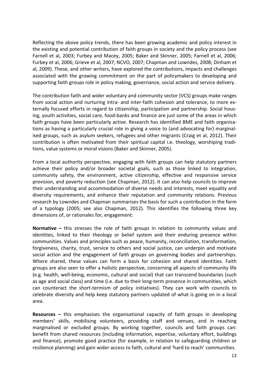Reflecting the above policy trends, there has been growing academic and policy interest in the existing and potential contribution of faith groups in society and the policy process (see Farnell et al, 2003; Furbey and Macey, 2005; Baker and Skinner, 2005; Farnell et al, 2006; Furbey et al, 2006; Grieve et al, 2007; NCVO, 2007; Chapman and Lowndes, 2008; Dinham et al, 2009). These, and other writers, have explored the contributions, impacts and challenges associated with the growing commitment on the part of policymakers to developing and supporting faith groups role in policy making, governance, social action and service delivery.

The contribution faith and wider voluntary and community sector (VCS) groups make ranges from social action and nurturing intra- and inter-faith cohesion and tolerance, to more externally focused efforts in regard to citizenship, participation and partnership. Social housing, youth activities, social care, food-banks and finance are just some of the areas in which faith groups have been particularly active. Research has identified BME and faith organisations as having a particularly crucial role in giving a voice to (and advocating for) marginalised groups, such as asylum seekers, refugees and other migrants (Craig et al, 2012). Their contribution is often motivated from their spiritual capital i.e. theology, worshiping traditions, value systems or moral visions (Baker and Skinner, 2005).

From a local authority perspective, engaging with faith groups can help statutory partners achieve their policy and/or broader societal goals, such as those linked to integration, community safety, the environment, active citizenship, effective and responsive service provision, and poverty reduction (see Chapman, 2012). It can also help councils to improve their understanding and accommodation of diverse needs and interests, meet equality and diversity requirements, and enhance their reputation and community relations. Previous research by Lowndes and Chapman summarises the basis for such a contribution in the form of a typology (2005; see also Chapman, 2012). This identifies the following three key dimensions of, or rationales for, engagement:

**Normative –** this stresses the role of faith groups in relation to community values and identities, linked to their theology or belief system and their enduring presence within communities. Values and principles such as peace, humanity, reconciliation, transformation, forgiveness, charity, trust, service to others and social justice, can underpin and motivate social action and the engagement of faith groups on governing bodies and partnerships. Where shared, these values can form a basis for cohesion and shared identities. Faith groups are also seen to offer a holistic perspective, concerning all aspects of community life (e.g. health, well-being, economic, cultural and social) that can transcend boundaries (such as age and social class) and time (i.e. due to their long-term presence in communities, which can counteract the short-termism of policy initiatives). They can work with councils to celebrate diversity and help keep statutory partners updated of what is going on in a local area.

**Resources –** this emphasises the organisational capacity of faith groups in developing members' skills, mobilising volunteers, providing staff and venues, and in reaching marginalised or excluded groups. By working together, councils and faith groups can: benefit from shared resources (including information, expertise, voluntary effort, buildings and finance), promote good practice (for example, in relation to safeguarding children or resilience planning) and gain wider access to faith, cultural and 'hard to reach' communities.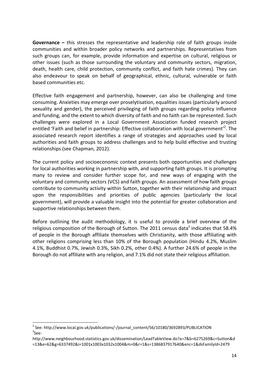**Governance –** this stresses the representative and leadership role of faith groups inside communities and within broader policy networks and partnerships. Representatives from such groups can, for example, provide information and expertise on cultural, religious or other issues (such as those surrounding the voluntary and community sectors, migration, death, health care, child protection, community conflict, and faith hate crimes). They can also endeavour to speak on behalf of geographical, ethnic, cultural, vulnerable or faith based communities etc.

Effective faith engagement and partnership, however, can also be challenging and time consuming. Anxieties may emerge over proselytisation, equalities issues (particularly around sexuality and gender), the perceived privileging of faith groups regarding policy influence and funding, and the extent to which diversity of faith and no faith can be represented. Such challenges were explored in a Local Government Association funded research project entitled 'Faith and belief in partnership: Effective collaboration with local government'<sup>2</sup>. The associated research report identifies a range of strategies and approaches used by local authorities and faith groups to address challenges and to help build effective and trusting relationships (see Chapman, 2012).

The current policy and socioeconomic context presents both opportunities and challenges for local authorities working in partnership with, and supporting faith groups. It is prompting many to review and consider further scope for, and new ways of engaging with the voluntary and community sectors (VCS) and faith groups. An assessment of how faith groups contribute to community activity within Sutton, together with their relationship and impact upon the responsibilities and priorities of public agencies (particularly the local government), will provide a valuable insight into the potential for greater collaboration and supportive relationships between them.

Before outlining the audit methodology, it is useful to provide a brief overview of the religious composition of the Borough of Sutton. The 2011 census data<sup>3</sup> indicates that 58.4% of people in the Borough affiliate themselves with Christianity, with those affiliating with other religions comprising less than 10% of the Borough population (Hindu 4.2%, Muslim 4.1%, Buddhist 0.7%, Jewish 0.3%, Sikh 0.2%, other 0.4%). A further 24.6% of people in the Borough do not affiliate with any religion, and 7.1% did not state their religious affiliation.

<sup>&</sup>lt;sup>2</sup> See: http://www.local.gov.uk/publications/-/journal\_content/56/10180/3692893/PUBLICATION  ${}^{3}$ See:

http://www.neighbourhood.statistics.gov.uk/dissemination/LeadTableView.do?a=7&b=6275269&c=Sutton&d =13&e=62&g=6337492&i=1001x1003x1032x1004&m=0&r=1&s=1386837917640&enc=1&dsFamilyId=2479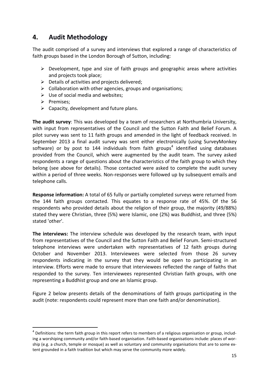## **4. Audit Methodology**

The audit comprised of a survey and interviews that explored a range of characteristics of faith groups based in the London Borough of Sutton, including:

- $\triangleright$  Development, type and size of faith groups and geographic areas where activities and projects took place;
- $\triangleright$  Details of activities and projects delivered;
- $\triangleright$  Collaboration with other agencies, groups and organisations;
- $\triangleright$  Use of social media and websites;
- $\triangleright$  Premises;
- $\triangleright$  Capacity, development and future plans.

**The audit survey**: This was developed by a team of researchers at Northumbria University, with input from representatives of the Council and the Sutton Faith and Belief Forum. A pilot survey was sent to 11 faith groups and amended in the light of feedback received. In September 2013 a final audit survey was sent either electronically (using SurveyMonkey software) or by post to 144 individuals from faith groups<sup>4</sup> identified using databases provided from the Council, which were augmented by the audit team. The survey asked respondents a range of questions about the characteristics of the faith group to which they belong (see above for details). Those contacted were asked to complete the audit survey within a period of three weeks. Non-responses were followed up by subsequent emails and telephone calls.

**Response information:** A total of 65 fully or partially completed surveys were returned from the 144 faith groups contacted. This equates to a response rate of 45%. Of the 56 respondents who provided details about the religion of their group, the majority (49/88%) stated they were Christian, three (5%) were Islamic, one (2%) was Buddhist, and three (5%) stated 'other'.

**The interviews:** The interview schedule was developed by the research team, with input from representatives of the Council and the Sutton Faith and Belief Forum. Semi-structured telephone interviews were undertaken with representatives of 12 faith groups during October and November 2013. Interviewees were selected from those 26 survey respondents indicating in the survey that they would be open to participating in an interview. Efforts were made to ensure that interviewees reflected the range of faiths that responded to the survey. Ten interviewees represented Christian faith groups, with one representing a Buddhist group and one an Islamic group.

Figure 2 below presents details of the denominations of faith groups participating in the audit (note: respondents could represent more than one faith and/or denomination).

<sup>&</sup>lt;sup>4</sup> Definitions: the term faith group in this report refers to members of a religious organisation or group, including a worshiping community and/or faith-based organisation. Faith-based organisations include: places of worship (e.g. a church, temple or mosque) as well as voluntary and community organisations that are to some extent grounded in a faith tradition but which may serve the community more widely.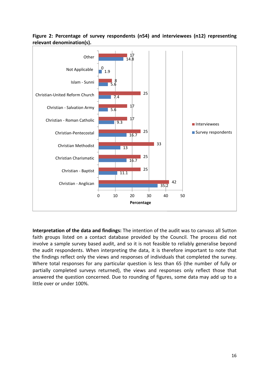

**Figure 2: Percentage of survey respondents (n54) and interviewees (n12) representing relevant denomination(s).**

**Interpretation of the data and findings:** The intention of the audit was to canvass all Sutton faith groups listed on a contact database provided by the Council. The process did not involve a sample survey based audit, and so it is not feasible to reliably generalise beyond the audit respondents. When interpreting the data, it is therefore important to note that the findings reflect only the views and responses of individuals that completed the survey. Where total responses for any particular question is less than 65 (the number of fully or partially completed surveys returned), the views and responses only reflect those that answered the question concerned. Due to rounding of figures, some data may add up to a little over or under 100%.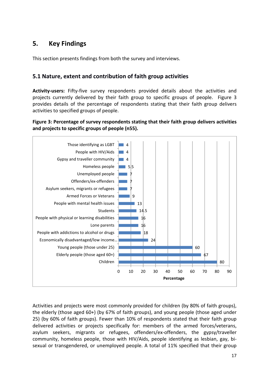## **5. Key Findings**

This section presents findings from both the survey and interviews.

## **5.1 Nature, extent and contribution of faith group activities**

**Activity-users:** Fifty-five survey respondents provided details about the activities and projects currently delivered by their faith group to specific groups of people. Figure 3 provides details of the percentage of respondents stating that their faith group delivers activities to specified groups of people.

**Figure 3: Percentage of survey respondents stating that their faith group delivers activities and projects to specific groups of people (n55).**



Activities and projects were most commonly provided for children (by 80% of faith groups), the elderly (those aged 60+) (by 67% of faith groups), and young people (those aged under 25) (by 60% of faith groups). Fewer than 10% of respondents stated that their faith group delivered activities or projects specifically for: members of the armed forces/veterans, asylum seekers, migrants or refugees, offenders/ex-offenders, the gypsy/traveller community, homeless people, those with HIV/Aids, people identifying as lesbian, gay, bisexual or transgendered, or unemployed people. A total of 11% specified that their group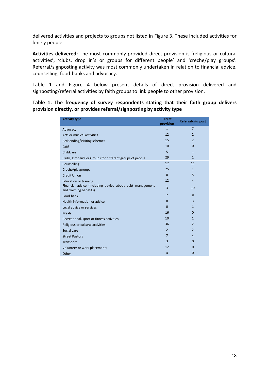delivered activities and projects to groups not listed in Figure 3. These included activities for lonely people.

**Activities delivered:** The most commonly provided direct provision is 'religious or cultural activities', 'clubs, drop in's or groups for different people' and 'crèche/play groups'. Referral/signposting activity was most commonly undertaken in relation to financial advice, counselling, food-banks and advocacy.

Table 1 and Figure 4 below present details of direct provision delivered and signposting/referral activities by faith groups to link people to other provision.

**Table 1: The frequency of survey respondents stating that their faith group delivers provision directly, or provides referral/signposting by activity type**

| <b>Activity type</b>                                                               | <b>Direct</b><br>provision | Referral/signpost |
|------------------------------------------------------------------------------------|----------------------------|-------------------|
| Advocacy                                                                           | $\mathbf{1}$               | $\overline{7}$    |
| Arts or musical activities                                                         | 12                         | $\overline{2}$    |
| Befriending/Visiting schemes                                                       | 15                         | $\overline{2}$    |
| Café                                                                               | 10                         | $\Omega$          |
| Childcare                                                                          | 5                          | $\mathbf{1}$      |
| Clubs, Drop In's or Groups for different groups of people                          | 29                         | $\mathbf{1}$      |
| Counselling                                                                        | 12                         | 11                |
| Creche/playgroups                                                                  | 25                         | $\mathbf{1}$      |
| <b>Credit Union</b>                                                                | $\overline{0}$             | 5                 |
| <b>Education or training</b>                                                       | 12                         | $\overline{4}$    |
| Financial advice (including advice about debt management<br>and claiming benefits) | 3                          | 10                |
| Food-bank                                                                          | $\overline{7}$             | 8                 |
| Health information or advice                                                       | $\mathbf 0$                | $\overline{3}$    |
| Legal advice or services                                                           | $\mathbf 0$                | $\mathbf{1}$      |
| <b>Meals</b>                                                                       | 16                         | $\Omega$          |
| Recreational, sport or fitness activities                                          | 10                         | $\mathbf{1}$      |
| Religious or cultural activities                                                   | 36                         | $\overline{2}$    |
| Social care                                                                        | $\overline{2}$             | $\overline{2}$    |
| <b>Street Pastors</b>                                                              | $\overline{7}$             | $\overline{4}$    |
| Transport                                                                          | $\overline{3}$             | $\Omega$          |
| Volunteer or work placements                                                       | 12                         | $\Omega$          |
| Other                                                                              | $\overline{4}$             | $\overline{0}$    |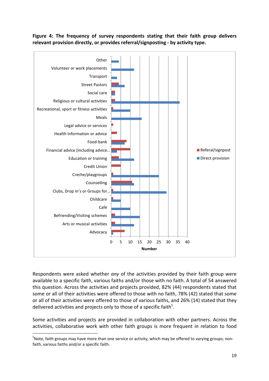



Respondents were asked whether *any* of the activities provided by their faith group were available to a specific faith, various faiths and/or those with no faith. A total of 54 answered this question. Across the activities and projects provided, 82% (44) respondents stated that some or all of their activities were offered to those with no faith, 78% (42) stated that some or all of their activities were offered to those of various faiths, and 26% (14) stated that they delivered activities and projects only to those of a specific faith<sup>5</sup>.

Some activities and projects are provided in collaboration with other partners. Across the activities, collaborative work with other faith groups is more frequent in relation to food

<sup>&</sup>lt;sup>5</sup>Note, faith groups may have more than one service or activity, which may be offered to varying groups; nonfaith, various faiths and/or a specific faith.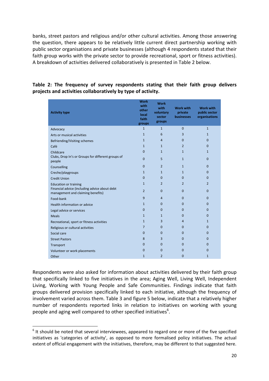banks, street pastors and religious and/or other cultural activities. Among those answering the question, there appears to be relatively little current direct partnership working with public sector organisations and private businesses (although 4 respondents stated that their faith group works with the private sector to provide recreational, sport or fitness activities). A breakdown of activities delivered collaboratively is presented in Table 2 below.

#### **Activity type Work with other local faith groups Work with voluntary sector groups Work with private businesses Work with public sector organisations** Advocacy and the control of the control of  $\begin{array}{cccccccccc} &1& &1& &0& &1\end{array}$ Arts or musical activities **1** activities **1 1** activities **1 1** Befriending/Visiting schemes and the state of the state of the state of the state of the state of the state of the state of the state of the state of the state of the state of the state of the state of the state of the sta Café  $1$   $1$   $1$   $2$   $0$ Childcare  $0$  1  $1$  1  $1$ Clubs, Drop In's or Groups for different groups of people <sup>0</sup> <sup>5</sup> <sup>1</sup> <sup>0</sup>  $\frac{1}{2}$  Counselling  $\frac{1}{2}$  0  $\frac{1}{2}$  1 0 Creche/playgroups 0 1 1 1 0 0 Credit Union 0 0 0 0 Education or training  $\begin{array}{ccccccc} & 1 & 2 & 2 & 2 \end{array}$ Financial advice (including advice about debt management and claiming benefits) <sup>2</sup> <sup>0</sup> <sup>0</sup> <sup>0</sup> Food-bank 9 4 0 0 Health information or advice and the control of the control of the control of the control of the control of the control of the control of the control of the control of the control of the control of the control of the contr Legal advice or services and the control of the control of the control of the control of the control of the control of the control of the control of the control of the control of the control of the control of the control o Meals  $1 \t 1 \t 0 \t 0$ Recreational, sport or fitness activities 1 3 4 1 Religious or cultural activities 7 0 0 0 Social care  $0$  0  $0$  0  $0$  0  $0$ Street Pastors 8 3 0 0 Transport 0 0 0 0 Volunteer or work placements and the control of the control of the control of the control of the control of the control of the control of the control of the control of the control of the control of the control of the contr Other  $1$   $2$   $0$   $1$

## **Table 2: The frequency of survey respondents stating that their faith group delivers projects and activities collaboratively by type of activity.**

Respondents were also asked for information about activities delivered by their faith group that specifically linked to five initiatives in the area; Aging Well, Living Well, Independent Living, Working with Young People and Safe Communities. Findings indicate that faith groups delivered provision specifically linked to each initiative, although the frequency of involvement varied across them. Table 3 and figure 5 below, indicate that a relatively higher number of respondents reported links in relation to initiatives on working with young people and aging well compared to other specified initiatives $^6$ .

 $<sup>6</sup>$  It should be noted that several interviewees, appeared to regard one or more of the five specified</sup> initiatives as 'categories of activity', as opposed to more formalised policy initiatives. The actual extent of official engagement with the initiatives, therefore, may be different to that suggested here.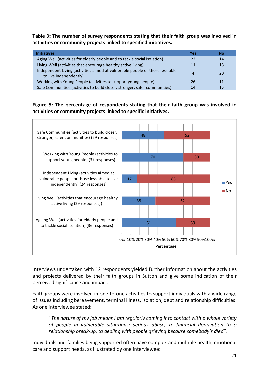**Table 3: The number of survey respondents stating that their faith group was involved in activities or community projects linked to specified initiatives.**

| <b>Initiatives</b>                                                                                     | Yes | Nο        |
|--------------------------------------------------------------------------------------------------------|-----|-----------|
| Aging Well (activities for elderly people and to tackle social isolation)                              | 22  | 14        |
| Living Well (activities that encourage healthy active living)                                          | 11  | 18        |
| Independent Living (activities aimed at vulnerable people or those less able<br>to live independently) | Δ   | <b>20</b> |
| Working with Young People (activities to support young people)                                         | 26  | 11        |
| Safe Communities (activities to build closer, stronger, safer communities)                             | 14  | 15        |

**Figure 5: The percentage of respondents stating that their faith group was involved in activities or community projects linked to specific initiatives.**



Interviews undertaken with 12 respondents yielded further information about the activities and projects delivered by their faith groups in Sutton and give some indication of their perceived significance and impact.

Faith groups were involved in one-to-one activities to support individuals with a wide range of issues including bereavement, terminal illness, isolation, debt and relationship difficulties. As one interviewee stated:

*"The nature of my job means I am regularly coming into contact with a whole variety of people in vulnerable situations; serious abuse, to financial deprivation to a relationship break-up, to dealing with people grieving because somebody's died".*

Individuals and families being supported often have complex and multiple health, emotional care and support needs, as illustrated by one interviewee: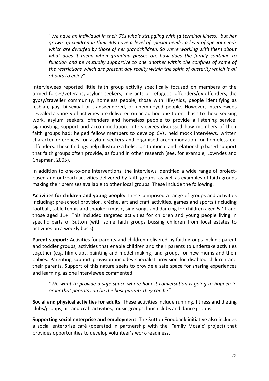*"We have an individual in their 70s who's struggling with (a terminal illness), but her grown up children in their 40s have a level of special needs; a level of special needs which are dwarfed by those of her grandchildren. So we're working with them about what does it mean when grandma passes on, how does the family continue to function and be mutually supportive to one another within the confines of some of the restrictions which are present day reality within the spirit of austerity which is all of ours to enjoy*".

Interviewees reported little faith group activity specifically focused on members of the armed forces/veterans, asylum seekers, migrants or refugees, offenders/ex-offenders, the gypsy/traveller community, homeless people, those with HIV/Aids, people identifying as lesbian, gay, bi-sexual or transgendered, or unemployed people. However, interviewees revealed a variety of activities are delivered on an ad hoc one-to-one basis to those seeking work, asylum seekers, offenders and homeless people to provide a listening service, signposting, support and accommodation. Interviewees discussed how members of their faith groups had: helped fellow members to develop CVs, held mock interviews, written character references for asylum-seekers and organised accommodation for homeless exoffenders. These findings help illustrate a holistic, situational and relationship based support that faith groups often provide, as found in other research (see, for example, Lowndes and Chapman, 2005).

In addition to one-to-one interventions, the interviews identified a wide range of projectbased and outreach activities delivered by faith groups, as well as examples of faith groups making their premises available to other local groups. These include the following:

**Activities for children and young people:** These comprised a range of groups and activities including: pre-school provision, crèche, art and craft activities, games and sports (including football, table tennis and snooker) music, sing-songs and dancing for children aged 5-11 and those aged 11+. This included targeted activities for children and young people living in specific parts of Sutton (with some faith groups bussing children from local estates to activities on a weekly basis).

**Parent support:** Activities for parents and children delivered by faith groups include parent and toddler groups, activities that enable children and their parents to undertake activities together (e.g. film clubs, painting and model-making) and groups for new mums and their babies. Parenting support provision includes specialist provision for disabled children and their parents. Support of this nature seeks to provide a safe space for sharing experiences and learning, as one interviewee commented:

*"We want to provide a safe space where honest conversation is going to happen in order that parents can be the best parents they can be".*

**Social and physical activities for adults**: These activities include running, fitness and dieting clubs/groups, art and craft activities, music groups, lunch clubs and dance groups.

**Supporting social enterprise and employment:** The Sutton Foodbank initiative also includes a social enterprise café (operated in partnership with the 'Family Mosaic' project) that provides opportunities to develop volunteer's work-readiness.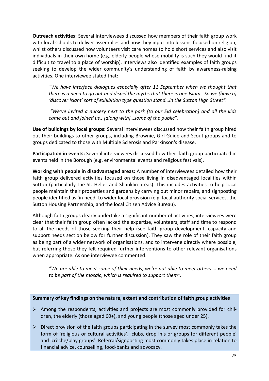**Outreach activities:** Several interviewees discussed how members of their faith group work with local schools to deliver assemblies and how they input into lessons focused on religion, whilst others discussed how volunteers visit care homes to hold short services and also visit individuals in their own home (e.g. elderly people whose mobility is such they would find it difficult to travel to a place of worship). Interviews also identified examples of faith groups seeking to develop the wider community's understanding of faith by awareness-raising activities. One interviewee stated that:

*"We have interface dialogues especially after 11 September when we thought that there is a need to go out and dispel the myths that there is one Islam. So we (have a) 'discover Islam' sort of exhibition type question stand…in the Sutton High Street".*

*"We've invited a nursery next to the park [to our Eid celebration] and all the kids came out and joined us...[along with]…some of the public".*

**Use of buildings by local groups:** Several interviewees discussed how their faith group hired out their buildings to other groups, including Brownie, Girl Guide and Scout groups and to groups dedicated to those with Multiple Sclerosis and Parkinson's disease.

**Participation in events:** Several interviewees discussed how their faith group participated in events held in the Borough (e.g. environmental events and religious festivals).

**Working with people in disadvantaged areas:** A number of interviewees detailed how their faith group delivered activities focused on those living in disadvantaged localities within Sutton (particularly the St. Helier and Shanklin areas). This includes activities to help local people maintain their properties and gardens by carrying out minor repairs, and signposting people identified as 'in need' to wider local provision (e.g. local authority social services, the Sutton Housing Partnership, and the local Citizen Advice Bureau).

Although faith groups clearly undertake a significant number of activities, interviewees were clear that their faith group often lacked the expertise, volunteers, staff and time to respond to all the needs of those seeking their help (see faith group development, capacity and support needs section below for further discussion). They saw the role of their faith group as being part of a wider network of organisations, and to intervene directly where possible, but referring those they felt required further interventions to other relevant organisations when appropriate. As one interviewee commented:

*"We are able to meet some of their needs, we're not able to meet others … we need to be part of the mosaic, which is required to support them".*

#### **Summary of key findings on the nature, extent and contribution of faith group activities**

- $\triangleright$  Among the respondents, activities and projects are most commonly provided for children, the elderly (those aged 60+), and young people (those aged under 25).
- $\triangleright$  Direct provision of the faith groups participating in the survey most commonly takes the form of 'religious or cultural activities', 'clubs, drop in's or groups for different people' and 'crèche/play groups'. Referral/signposting most commonly takes place in relation to financial advice, counselling, food-banks and advocacy.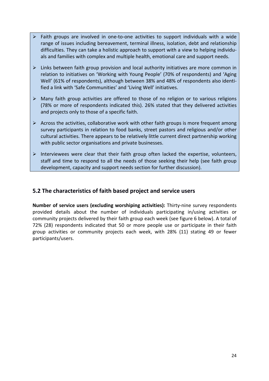- $\triangleright$  Faith groups are involved in one-to-one activities to support individuals with a wide range of issues including bereavement, terminal illness, isolation, debt and relationship difficulties. They can take a holistic approach to support with a view to helping individuals and families with complex and multiple health, emotional care and support needs.
- $\triangleright$  Links between faith group provision and local authority initiatives are more common in relation to initiatives on 'Working with Young People' (70% of respondents) and 'Aging Well' (61% of respondents), although between 38% and 48% of respondents also identified a link with 'Safe Communities' and 'Living Well' initiatives.
- $\triangleright$  Many faith group activities are offered to those of no religion or to various religions (78% or more of respondents indicated this). 26% stated that they delivered activities and projects only to those of a specific faith.
- $\triangleright$  Across the activities, collaborative work with other faith groups is more frequent among survey participants in relation to food banks, street pastors and religious and/or other cultural activities. There appears to be relatively little current direct partnership working with public sector organisations and private businesses.
- $\triangleright$  Interviewees were clear that their faith group often lacked the expertise, volunteers, staff and time to respond to all the needs of those seeking their help (see faith group development, capacity and support needs section for further discussion).

## **5.2 The characteristics of faith based project and service users**

**Number of service users (excluding worshiping activities):** Thirty-nine survey respondents provided details about the number of individuals participating in/using activities or community projects delivered by their faith group each week (see figure 6 below). A total of 72% (28) respondents indicated that 50 or more people use or participate in their faith group activities or community projects each week, with 28% (11) stating 49 or fewer participants/users.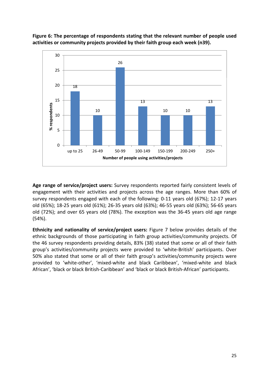

**Figure 6: The percentage of respondents stating that the relevant number of people used activities or community projects provided by their faith group each week (n39).**

**Age range of service/project users:** Survey respondents reported fairly consistent levels of engagement with their activities and projects across the age ranges. More than 60% of survey respondents engaged with each of the following: 0-11 years old (67%); 12-17 years old (65%); 18-25 years old (61%); 26-35 years old (63%); 46-55 years old (63%); 56-65 years old (72%); and over 65 years old (78%). The exception was the 36-45 years old age range (54%).

**Ethnicity and nationality of service/project users:** Figure 7 below provides details of the ethnic backgrounds of those participating in faith group activities/community projects. Of the 46 survey respondents providing details, 83% (38) stated that some or all of their faith group's activities/community projects were provided to 'white-British' participants. Over 50% also stated that some or all of their faith group's activities/community projects were provided to 'white-other', 'mixed-white and black Caribbean', 'mixed-white and black African', 'black or black British-Caribbean' and 'black or black British-African' participants.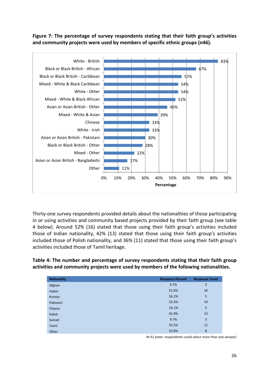**Figure 7: The percentage of survey respondents stating that their faith group's activities and community projects were used by members of specific ethnic groups (n46).**



Thirty-one survey respondents provided details about the nationalities of those participating in or using activities and community based projects provided by their faith group (see table 4 below). Around 52% (16) stated that those using their faith group's activities included those of Indian nationality, 42% (13) stated that those using their faith group's activities included those of Polish nationality, and 36% (11) stated that those using their faith group's activities included those of Tamil heritage.

**Table 4: The number and percentage of survey respondents stating that their faith group activities and community projects were used by members of the following nationalities.**

| <b>Nationality</b> | <b>Response Percent</b> | <b>Response Count</b> |
|--------------------|-------------------------|-----------------------|
| Afghan             | 9.7%                    | 3                     |
| Indian             | 51.6%                   | 16                    |
| Korean             | 16.1%                   | 5                     |
| Pakistani          | 32.3%                   | 10                    |
| Filipino           | 16.1%                   | 5                     |
| Polish             | 41.9%                   | 13                    |
| Somali             | 9.7%                    | 3                     |
| Tamil              | 35.5%                   | 11                    |
| Other              | 25.8%                   | 8                     |

N=31 (note: respondents could select more than one answer)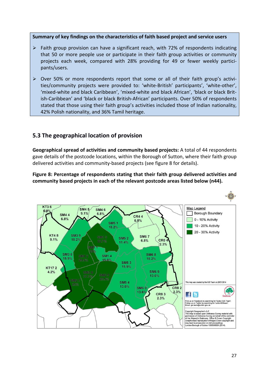**Summary of key findings on the characteristics of faith based project and service users**

- $\triangleright$  Faith group provision can have a significant reach, with 72% of respondents indicating that 50 or more people use or participate in their faith group activities or community projects each week, compared with 28% providing for 49 or fewer weekly participants/users.
- Over 50% or more respondents report that some or all of their faith group's activities/community projects were provided to: 'white-British' participants', 'white-other', 'mixed-white and black Caribbean', 'mixed-white and black African', 'black or black British-Caribbean' and 'black or black British-African' participants. Over 50% of respondents stated that those using their faith group's activities included those of Indian nationality, 42% Polish nationality, and 36% Tamil heritage.

## **5.3 The geographical location of provision**

**Geographical spread of activities and community based projects:** A total of 44 respondents gave details of the postcode locations, within the Borough of Sutton, where their faith group delivered activities and community-based projects (see figure 8 for details).

**Figure 8: Percentage of respondents stating that their faith group delivered activities and community based projects in each of the relevant postcode areas listed below (n44).**

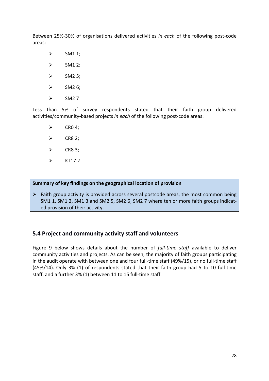Between 25%-30% of organisations delivered activities *in each* of the following post-code areas:

- $\triangleright$  SM1 1;
- $\triangleright$  SM1 2;
- $\triangleright$  SM2 5;
- $\triangleright$  SM2 6;
- $\geq$  SM2 7

Less than 5% of survey respondents stated that their faith group delivered activities/community-based projects *in each* of the following post-code areas:

- $\triangleright$  CRO 4:
- $\triangleright$  CR8 2;
- $\triangleright$  CR8 3;
- $\triangleright$  KT172

**Summary of key findings on the geographical location of provision**

 $\triangleright$  Faith group activity is provided across several postcode areas, the most common being SM1 1, SM1 2, SM1 3 and SM2 5, SM2 6, SM2 7 where ten or more faith groups indicated provision of their activity.

## **5.4 Project and community activity staff and volunteers**

Figure 9 below shows details about the number of *full-time staff* available to deliver community activities and projects. As can be seen, the majority of faith groups participating in the audit operate with between one and four full-time staff (49%/15), or no full-time staff (45%/14). Only 3% (1) of respondents stated that their faith group had 5 to 10 full-time staff, and a further 3% (1) between 11 to 15 full-time staff.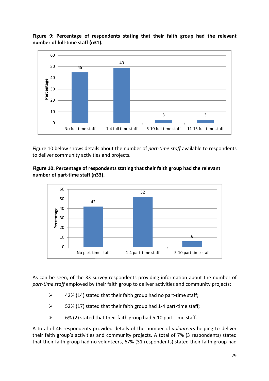**Figure 9: Percentage of respondents stating that their faith group had the relevant number of full-time staff (n31).**



Figure 10 below shows details about the number of *part-time staff* available to respondents to deliver community activities and projects.





As can be seen, of the 33 survey respondents providing information about the number of *part-time staff* employed by their faith group to deliver activities and community projects:

- $\geq$  42% (14) stated that their faith group had no part-time staff;
- $\geq$  52% (17) stated that their faith group had 1-4 part-time staff;
- $\geq$  6% (2) stated that their faith group had 5-10 part-time staff.

A total of 46 respondents provided details of the number of *volunteers* helping to deliver their faith group's activities and community projects. A total of 7% (3 respondents) stated that their faith group had no volunteers, 67% (31 respondents) stated their faith group had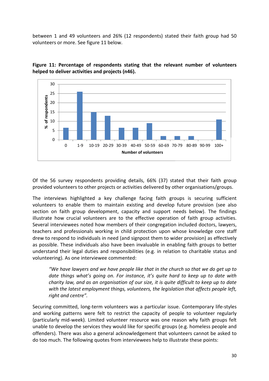between 1 and 49 volunteers and 26% (12 respondents) stated their faith group had 50 volunteers or more. See figure 11 below.





Of the 56 survey respondents providing details, 66% (37) stated that their faith group provided volunteers to other projects or activities delivered by other organisations/groups.

The interviews highlighted a key challenge facing faith groups is securing sufficient volunteers to enable them to maintain existing and develop future provision (see also section on faith group development, capacity and support needs below). The findings illustrate how crucial volunteers are to the effective operation of faith group activities. Several interviewees noted how members of their congregation included doctors, lawyers, teachers and professionals working in child protection upon whose knowledge core staff drew to respond to individuals in need (and signpost them to wider provision) as effectively as possible. These individuals also have been invaluable in enabling faith groups to better understand their legal duties and responsibilities (e.g. in relation to charitable status and volunteering). As one interviewee commented:

*"We have lawyers and we have people like that in the church so that we do get up to date things what's going on. For instance, it's quite hard to keep up to date with charity law, and as an organisation of our size, it is quite difficult to keep up to date with the latest employment things, volunteers, the legislation that affects people left, right and centre".*

Securing committed, long-term volunteers was a particular issue. Contemporary life-styles and working patterns were felt to restrict the capacity of people to volunteer regularly (particularly mid-week). Limited volunteer resource was one reason why faith groups felt unable to develop the services they would like for specific groups (e.g. homeless people and offenders). There was also a general acknowledgement that volunteers cannot be asked to do too much. The following quotes from interviewees help to illustrate these points: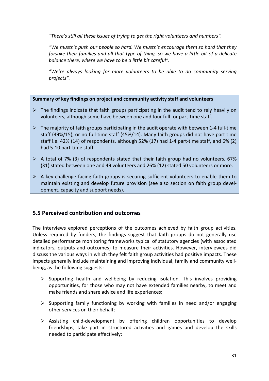*"There's still all these issues of trying to get the right volunteers and numbers".*

*"We mustn't push our people so hard. We mustn't encourage them so hard that they forsake their families and all that type of thing, so we have a little bit of a delicate balance there, where we have to be a little bit careful".*

*"We're always looking for more volunteers to be able to do community serving projects".*

#### **Summary of key findings on project and community activity staff and volunteers**

- $\triangleright$  The findings indicate that faith groups participating in the audit tend to rely heavily on volunteers, although some have between one and four full- or part-time staff.
- $\triangleright$  The majority of faith groups participating in the audit operate with between 1-4 full-time staff (49%/15), or no full-time staff (45%/14). Many faith groups did not have part time staff i.e. 42% (14) of respondents, although 52% (17) had 1-4 part-time staff, and 6% (2) had 5-10 part-time staff.
- $\triangleright$  A total of 7% (3) of respondents stated that their faith group had no volunteers, 67% (31) stated between one and 49 volunteers and 26% (12) stated 50 volunteers or more.
- $\triangleright$  A key challenge facing faith groups is securing sufficient volunteers to enable them to maintain existing and develop future provision (see also section on faith group development, capacity and support needs).

## **5.5 Perceived contribution and outcomes**

The interviews explored perceptions of the outcomes achieved by faith group activities. Unless required by funders, the findings suggest that faith groups do not generally use detailed performance monitoring frameworks typical of statutory agencies (with associated indicators, outputs and outcomes) to measure their activities. However, interviewees did discuss the various ways in which they felt faith group activities had positive impacts. These impacts generally include maintaining and improving individual, family and community wellbeing, as the following suggests:

- $\triangleright$  Supporting health and wellbeing by reducing isolation. This involves providing opportunities, for those who may not have extended families nearby, to meet and make friends and share advice and life experiences;
- $\triangleright$  Supporting family functioning by working with families in need and/or engaging other services on their behalf;
- $\triangleright$  Assisting child-development by offering children opportunities to develop friendships, take part in structured activities and games and develop the skills needed to participate effectively;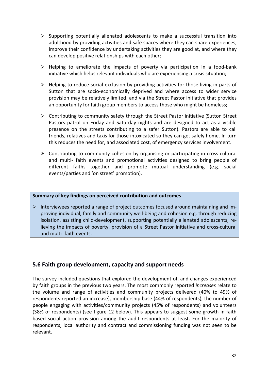- $\triangleright$  Supporting potentially alienated adolescents to make a successful transition into adulthood by providing activities and safe spaces where they can share experiences, improve their confidence by undertaking activities they are good at, and where they can develop positive relationships with each other;
- $\triangleright$  Helping to ameliorate the impacts of poverty via participation in a food-bank initiative which helps relevant individuals who are experiencing a crisis situation;
- $\triangleright$  Helping to reduce social exclusion by providing activities for those living in parts of Sutton that are socio-economically deprived and where access to wider service provision may be relatively limited; and via the Street Pastor initiative that provides an opportunity for faith group members to access those who might be homeless;
- Contributing to community safety through the Street Pastor initiative (Sutton Street Pastors patrol on Friday and Saturday nights and are designed to act as a visible presence on the streets contributing to a safer Sutton). Pastors are able to call friends, relatives and taxis for those intoxicated so they can get safely home. In turn this reduces the need for, and associated cost, of emergency services involvement.
- $\triangleright$  Contributing to community cohesion by organising or participating in cross-cultural and multi- faith events and promotional activities designed to bring people of different faiths together and promote mutual understanding (e.g. social events/parties and 'on street' promotion).

#### **Summary of key findings on perceived contribution and outcomes**

 $\triangleright$  Interviewees reported a range of project outcomes focused around maintaining and improving individual, family and community well-being and cohesion e.g. through reducing isolation, assisting child-development, supporting potentially alienated adolescents, relieving the impacts of poverty, provision of a Street Pastor initiative and cross-cultural and multi- faith events.

## **5.6 Faith group development, capacity and support needs**

The survey included questions that explored the development of, and changes experienced by faith groups in the previous two years. The most commonly reported *increases* relate to the volume and range of activities and community projects delivered (40% to 49% of respondents reported an increase), membership base (44% of respondents), the number of people engaging with activities/community projects (45% of respondents) and volunteers (38% of respondents) (see figure 12 below). This appears to suggest some growth in faith based social action provision among the audit respondents at least. For the majority of respondents, local authority and contract and commissioning funding was not seen to be relevant.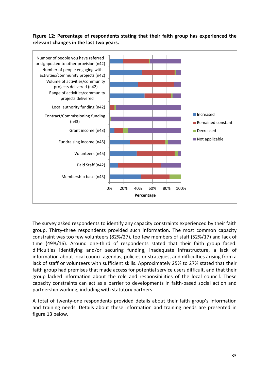## **Figure 12: Percentage of respondents stating that their faith group has experienced the relevant changes in the last two years.**



The survey asked respondents to identify any capacity constraints experienced by their faith group. Thirty-three respondents provided such information. The most common capacity constraint was too few volunteers (82%/27), too few members of staff (52%/17) and lack of time (49%/16). Around one-third of respondents stated that their faith group faced: difficulties identifying and/or securing funding, inadequate infrastructure, a lack of information about local council agendas, policies or strategies, and difficulties arising from a lack of staff or volunteers with sufficient skills. Approximately 25% to 27% stated that their faith group had premises that made access for potential service users difficult, and that their group lacked information about the role and responsibilities of the local council. These capacity constraints can act as a barrier to developments in faith-based social action and partnership working, including with statutory partners.

A total of twenty-one respondents provided details about their faith group's information and training needs. Details about these information and training needs are presented in figure 13 below.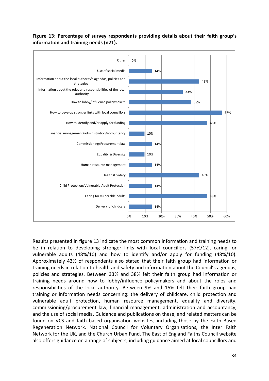

## **Figure 13: Percentage of survey respondents providing details about their faith group's information and training needs (n21).**

Results presented in figure 13 indicate the most common information and training needs to be in relation to developing stronger links with local councillors (57%/12), caring for vulnerable adults (48%/10) and how to identify and/or apply for funding (48%/10). Approximately 43% of respondents also stated that their faith group had information or training needs in relation to health and safety and information about the Council's agendas, policies and strategies. Between 33% and 38% felt their faith group had information or training needs around how to lobby/influence policymakers and about the roles and responsibilities of the local authority. Between 9% and 15% felt their faith group had training or information needs concerning: the delivery of childcare, child protection and vulnerable adult protection, human resource management, equality and diversity, commissioning/procurement law, financial management, administration and accountancy, and the use of social media. Guidance and publications on these, and related matters can be found on VCS and faith based organisation websites, including those by the Faith Based Regeneration Network, National Council for Voluntary Organisations, the Inter Faith Network for the UK, and the Church Urban Fund. The East of England Faiths Council website also offers guidance on a range of subjects, including guidance aimed at local councillors and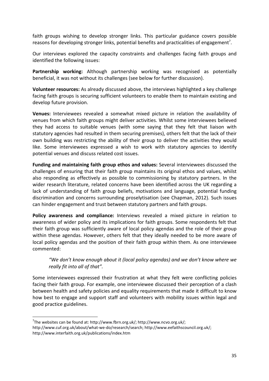faith groups wishing to develop stronger links. This particular guidance covers possible reasons for developing stronger links, potential benefits and practicalities of engagement<sup>7</sup>.

Our interviews explored the capacity constraints and challenges facing faith groups and identified the following issues:

**Partnership working:** Although partnership working was recognised as potentially beneficial, it was not without its challenges (see below for further discussion).

**Volunteer resources:** As already discussed above, the interviews highlighted a key challenge facing faith groups is securing sufficient volunteers to enable them to maintain existing and develop future provision.

**Venues:** Interviewees revealed a somewhat mixed picture in relation the availability of venues from which faith groups might deliver activities. Whilst some interviewees believed they had access to suitable venues (with some saying that they felt that liaison with statutory agencies had resulted in them securing premises), others felt that the lack of their own building was restricting the ability of their group to deliver the activities they would like. Some interviewees expressed a wish to work with statutory agencies to identify potential venues and discuss related cost issues.

**Funding and maintaining faith group ethos and values:** Several interviewees discussed the challenges of ensuring that their faith group maintains its original ethos and values, whilst also responding as effectively as possible to commissioning by statutory partners. In the wider research literature, related concerns have been identified across the UK regarding a lack of understanding of faith group beliefs, motivations and language, potential funding discrimination and concerns surrounding proselytisation (see Chapman, 2012). Such issues can hinder engagement and trust between statutory partners and faith groups.

**Policy awareness and compliance:** Interviews revealed a mixed picture in relation to awareness of wider policy and its implications for faith groups. Some respondents felt that their faith group was sufficiently aware of local policy agendas and the role of their group within these agendas. However, others felt that they ideally needed to be more aware of local policy agendas and the position of their faith group within them. As one interviewee commented:

*"We don't know enough about it (local policy agendas) and we don't know where we really fit into all of that".*

Some interviewees expressed their frustration at what they felt were conflicting policies facing their faith group. For example, one interviewee discussed their perception of a clash between health and safety policies and equality requirements that made it difficult to know how best to engage and support staff and volunteers with mobility issues within legal and good practice guidelines.

<sup>&</sup>lt;sup>7</sup>The websites can be found at: http://www.fbrn.org.uk/; http://www.ncvo.org.uk/;

http://www.cuf.org.uk/about/what-we-do/research/search; http://www.eefaithscouncil.org.uk/; http://www.interfaith.org.uk/publications/index.htm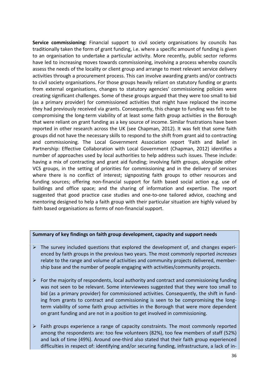**Service commissioning:** Financial support to civil society organisations by councils has traditionally taken the form of grant funding, i.e. where a specific amount of funding is given to an organisation to undertake a particular activity. More recently, public sector reforms have led to increasing moves towards commissioning, involving a process whereby councils assess the needs of the locality or client group and arrange to meet relevant service delivery activities through a procurement process. This can involve awarding grants and/or contracts to civil society organisations. For those groups heavily reliant on statutory funding or grants from external organisations, changes to statutory agencies' commissioning policies were creating significant challenges. Some of these groups argued that they were too small to bid (as a primary provider) for commissioned activities that might have replaced the income they had previously received via grants. Consequently, this change to funding was felt to be compromising the long-term viability of at least some faith group activities in the Borough that were reliant on grant funding as a key source of income. Similar frustrations have been reported in other research across the UK (see Chapman, 2012). It was felt that some faith groups did not have the necessary skills to respond to the shift from grant aid to contracting and commissioning. The Local Government Association report 'Faith and Belief in Partnership: Effective Collaboration with Local Government (Chapman, 2012) identifies a number of approaches used by local authorities to help address such issues. These include: having a mix of contracting and grant aid funding; involving faith groups, alongside other VCS groups, in the setting of priorities for commissioning and in the delivery of services where there is no conflict of interest; signposting faith groups to other resources and funding sources; offering non-financial support for faith based social action e.g. use of buildings and office space; and the sharing of information and expertise. The report suggested that good practice case studies and one-to-one tailored advice, coaching and mentoring designed to help a faith group with their particular situation are highly valued by faith based organisations as forms of non-financial support.

#### **Summary of key findings on faith group development, capacity and support needs**

- $\triangleright$  The survey included questions that explored the development of, and changes experienced by faith groups in the previous two years. The most commonly reported *increases* relate to the range and volume of activities and community projects delivered, membership base and the number of people engaging with activities/community projects.
- $\triangleright$  For the majority of respondents, local authority and contract and commissioning funding was not seen to be relevant. Some interviewees suggested that they were too small to bid (as a primary provider) for commissioned activities. Consequently, the shift in funding from grants to contract and commissioning is seen to be compromising the longterm viability of some faith group activities in the Borough that were more dependent on grant funding and are not in a position to get involved in commissioning.
- $\triangleright$  Faith groups experience a range of capacity constraints. The most commonly reported among the respondents are: too few volunteers (82%), too few members of staff (52%) and lack of time (49%). Around one-third also stated that their faith group experienced difficulties in respect of: identifying and/or securing funding, infrastructure, a lack of in-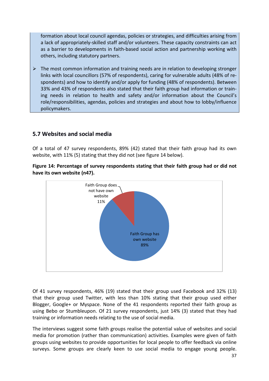formation about local council agendas, policies or strategies, and difficulties arising from a lack of appropriately-skilled staff and/or volunteers. These capacity constraints can act as a barrier to developments in faith-based social action and partnership working with others, including statutory partners.

 $\triangleright$  The most common information and training needs are in relation to developing stronger links with local councillors (57% of respondents), caring for vulnerable adults (48% of respondents) and how to identify and/or apply for funding (48% of respondents). Between 33% and 43% of respondents also stated that their faith group had information or training needs in relation to health and safety and/or information about the Council's role/responsibilities, agendas, policies and strategies and about how to lobby/influence policymakers.

## **5.7 Websites and social media**

Of a total of 47 survey respondents, 89% (42) stated that their faith group had its own website, with 11% (5) stating that they did not (see figure 14 below).





Of 41 survey respondents, 46% (19) stated that their group used Facebook and 32% (13) that their group used Twitter, with less than 10% stating that their group used either Blogger, Google+ or Myspace. None of the 41 respondents reported their faith group as using Bebo or Stumbleupon. Of 21 survey respondents, just 14% (3) stated that they had training or information needs relating to the use of social media.

The interviews suggest some faith groups realise the potential value of websites and social media for promotion (rather than communication) activities. Examples were given of faith groups using websites to provide opportunities for local people to offer feedback via online surveys. Some groups are clearly keen to use social media to engage young people.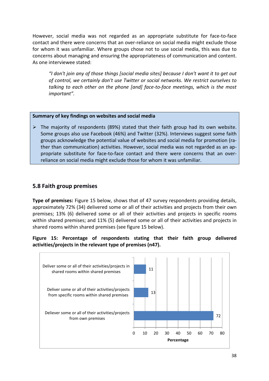However, social media was not regarded as an appropriate substitute for face-to-face contact and there were concerns that an over-reliance on social media might exclude those for whom it was unfamiliar. Where groups chose not to use social media, this was due to concerns about managing and ensuring the appropriateness of communication and content. As one interviewee stated:

*"I don't join any of those things [social media sites] because I don't want it to get out of control, we certainly don't use Twitter or social networks. We restrict ourselves to talking to each other on the phone [and] face-to-face meetings, which is the most important".*

#### **Summary of key findings on websites and social media**

 $\triangleright$  The majority of respondents (89%) stated that their faith group had its own website. Some groups also use Facebook (46%) and Twitter (32%). Interviews suggest some faith groups acknowledge the potential value of websites and social media for promotion (rather than communication) activities. However, social media was not regarded as an appropriate substitute for face-to-face contact and there were concerns that an overreliance on social media might exclude those for whom it was unfamiliar.

## **5.8 Faith group premises**

**Type of premises:** Figure 15 below, shows that of 47 survey respondents providing details, approximately 72% (34) delivered some or all of their activities and projects from their own premises; 13% (6) delivered some or all of their activities and projects in specific rooms within shared premises; and 11% (5) delivered some or all of their activities and projects in shared rooms within shared premises (see figure 15 below).

## **Figure 15: Percentage of respondents stating that their faith group delivered activities/projects in the relevant type of premises (n47).**

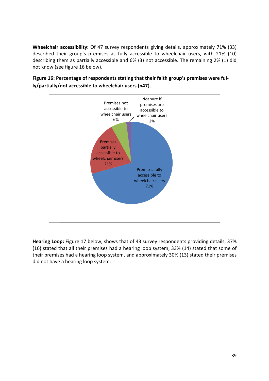**Wheelchair accessibility:** Of 47 survey respondents giving details, approximately 71% (33) described their group's premises as fully accessible to wheelchair users, with 21% (10) describing them as partially accessible and 6% (3) not accessible. The remaining 2% (1) did not know (see figure 16 below).





**Hearing Loop:** Figure 17 below, shows that of 43 survey respondents providing details, 37% (16) stated that all their premises had a hearing loop system, 33% (14) stated that some of their premises had a hearing loop system, and approximately 30% (13) stated their premises did not have a hearing loop system.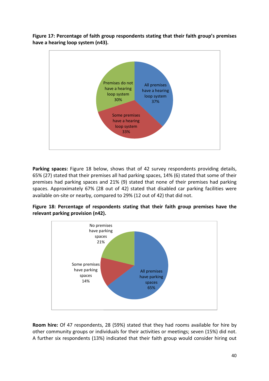**Figure 17: Percentage of faith group respondents stating that their faith group's premises have a hearing loop system (n43).**



**Parking spaces:** Figure 18 below, shows that of 42 survey respondents providing details, 65% (27) stated that their premises all had parking spaces, 14% (6) stated that some of their premises had parking spaces and 21% (9) stated that none of their premises had parking spaces. Approximately 67% (28 out of 42) stated that disabled car parking facilities were available on-site or nearby, compared to 29% (12 out of 42) that did not.

**Figure 18: Percentage of respondents stating that their faith group premises have the relevant parking provision (n42).**



**Room hire:** Of 47 respondents, 28 (59%) stated that they had rooms available for hire by other community groups or individuals for their activities or meetings; seven (15%) did not. A further six respondents (13%) indicated that their faith group would consider hiring out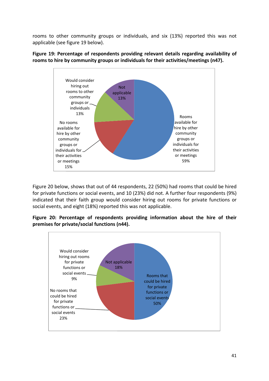rooms to other community groups or individuals, and six (13%) reported this was not applicable (see figure 19 below).



**Figure 19: Percentage of respondents providing relevant details regarding availability of rooms to hire by community groups or individuals for their activities/meetings (n47).**

Figure 20 below, shows that out of 44 respondents, 22 (50%) had rooms that could be hired for private functions or social events, and 10 (23%) did not. A further four respondents (9%) indicated that their faith group would consider hiring out rooms for private functions or social events, and eight (18%) reported this was not applicable.

**Figure 20: Percentage of respondents providing information about the hire of their premises for private/social functions (n44).**

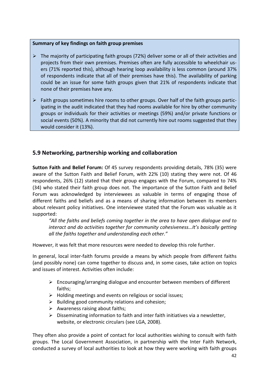### **Summary of key findings on faith group premises**

- $\triangleright$  The majority of participating faith groups (72%) deliver some or all of their activities and projects from their own premises. Premises often are fully accessible to wheelchair users (71% reported this), although hearing loop availability is less common (around 37% of respondents indicate that all of their premises have this). The availability of parking could be an issue for some faith groups given that 21% of respondents indicate that none of their premises have any.
- $\triangleright$  Faith groups sometimes hire rooms to other groups. Over half of the faith groups participating in the audit indicated that they had rooms available for hire by other community groups or individuals for their activities or meetings (59%) and/or private functions or social events (50%). A minority that did not currently hire out rooms suggested that they would consider it (13%).

## **5.9 Networking, partnership working and collaboration**

**Sutton Faith and Belief Forum:** Of 45 survey respondents providing details, 78% (35) were aware of the Sutton Faith and Belief Forum, with 22% (10) stating they were not. Of 46 respondents, 26% (12) stated that their group engages with the Forum, compared to 74% (34) who stated their faith group does not. The importance of the Sutton Faith and Belief Forum was acknowledged by interviewees as valuable in terms of engaging those of different faiths and beliefs and as a means of sharing information between its members about relevant policy initiatives. One interviewee stated that the Forum was valuable as it supported:

*"All the faiths and beliefs coming together in the area to have open dialogue and to interact and do activities together for community cohesiveness…It's basically getting all the faiths together and understanding each other."*

However, it was felt that more resources were needed to develop this role further.

In general, local inter-faith forums provide a means by which people from different faiths (and possibly none) can come together to discuss and, in some cases, take action on topics and issues of interest. Activities often include:

- $\triangleright$  Encouraging/arranging dialogue and encounter between members of different faiths;
- $\triangleright$  Holding meetings and events on religious or social issues;
- $\triangleright$  Building good community relations and cohesion;
- $\triangleright$  Awareness raising about faiths;
- $\triangleright$  Disseminating information to faith and inter faith initiatives via a newsletter, website, or electronic circulars (see LGA, 2008).

They often also provide a point of contact for local authorities wishing to consult with faith groups. The Local Government Association, in partnership with the Inter Faith Network, conducted a survey of local authorities to look at how they were working with faith groups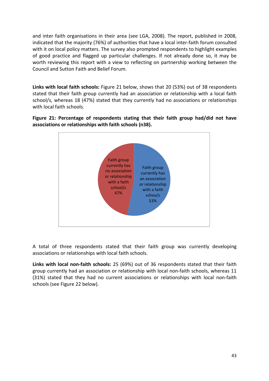and inter faith organisations in their area (see LGA, 2008). The report, published in 2008, indicated that the majority (76%) of authorities that have a local inter-faith forum consulted with it on local policy matters. The survey also prompted respondents to highlight examples of good practice and flagged up particular challenges. If not already done so, it may be worth reviewing this report with a view to reflecting on partnership working between the Council and Sutton Faith and Belief Forum.

**Links with local faith schools:** Figure 21 below, shows that 20 (53%) out of 38 respondents stated that their faith group currently had an association or relationship with a local faith school/s, whereas 18 (47%) stated that they currently had no associations or relationships with local faith schools.

**Figure 21: Percentage of respondents stating that their faith group had/did not have associations or relationships with faith schools (n38).**



A total of three respondents stated that their faith group was currently developing associations or relationships with local faith schools.

**Links with local non-faith schools:** 25 (69%) out of 36 respondents stated that their faith group currently had an association or relationship with local non-faith schools, whereas 11 (31%) stated that they had no current associations or relationships with local non-faith schools (see Figure 22 below).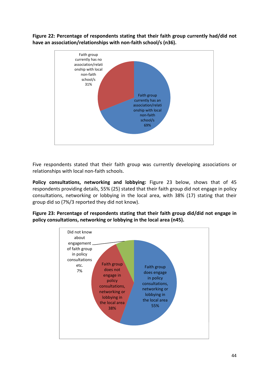**Figure 22: Percentage of respondents stating that their faith group currently had/did not have an association/relationships with non-faith school/s (n36).**



Five respondents stated that their faith group was currently developing associations or relationships with local non-faith schools.

**Policy consultations, networking and lobbying:** Figure 23 below, shows that of 45 respondents providing details, 55% (25) stated that their faith group did not engage in policy consultations, networking or lobbying in the local area, with 38% (17) stating that their group did so (7%/3 reported they did not know).

**Figure 23: Percentage of respondents stating that their faith group did/did not engage in policy consultations, networking or lobbying in the local area (n45).**

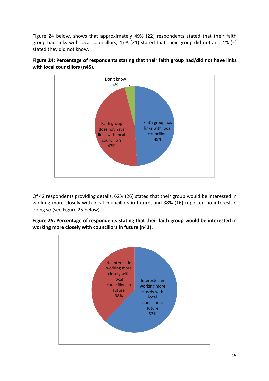Figure 24 below, shows that approximately 49% (22) respondents stated that their faith group had links with local councillors, 47% (21) stated that their group did not and 4% (2) stated they did not know.



**Figure 24: Percentage of respondents stating that their faith group had/did not have links with local councillors (n45).**

Of 42 respondents providing details, 62% (26) stated that their group would be interested in working more closely with local councillors in future, and 38% (16) reported no interest in doing so (see Figure 25 below).

**Figure 25: Percentage of respondents stating that their faith group would be interested in working more closely with councillors in future (n42).**

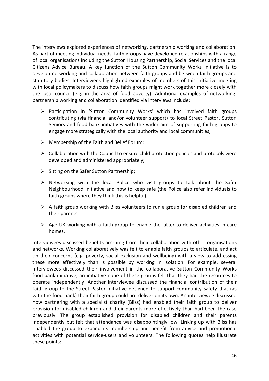The interviews explored experiences of networking, partnership working and collaboration. As part of meeting individual needs, faith groups have developed relationships with a range of local organisations including the Sutton Housing Partnership, Social Services and the local Citizens Advice Bureau. A key function of the Sutton Community Works initiative is to develop networking and collaboration between faith groups and between faith groups and statutory bodies. Interviewees highlighted examples of members of this initiative meeting with local policymakers to discuss how faith groups might work together more closely with the local council (e.g. in the area of food poverty). Additional examples of networking, partnership working and collaboration identified via interviews include:

- Participation in 'Sutton Community Works' which has involved faith groups contributing (via financial and/or volunteer support) to local Street Pastor, Sutton Seniors and food-bank initiatives with the wider aim of supporting faith groups to engage more strategically with the local authority and local communities;
- $\triangleright$  Membership of the Faith and Belief Forum;
- $\triangleright$  Collaboration with the Council to ensure child protection policies and protocols were developed and administered appropriately;
- $\triangleright$  Sitting on the Safer Sutton Partnership;
- $\triangleright$  Networking with the local Police who visit groups to talk about the Safer Neighbourhood initiative and how to keep safe (the Police also refer individuals to faith groups where they think this is helpful);
- $\triangleright$  A faith group working with Bliss volunteers to run a group for disabled children and their parents;
- $\triangleright$  Age UK working with a faith group to enable the latter to deliver activities in care homes.

Interviewees discussed benefits accruing from their collaboration with other organisations and networks. Working collaboratively was felt to enable faith groups to articulate, and act on their concerns (e.g. poverty, social exclusion and wellbeing) with a view to addressing these more effectively than is possible by working in isolation. For example, several interviewees discussed their involvement in the collaborative Sutton Community Works food-bank initiative; an initiative none of these groups felt that they had the resources to operate independently. Another interviewee discussed the financial contribution of their faith group to the Street Pastor initiative designed to support community safety that (as with the food-bank) their faith group could not deliver on its own. An interviewee discussed how partnering with a specialist charity (Bliss) had enabled their faith group to deliver provision for disabled children and their parents more effectively than had been the case previously. The group established provision for disabled children and their parents independently but felt that attendance was disappointingly low. Linking up with Bliss has enabled the group to expand its membership and benefit from advice and promotional activities with potential service-users and volunteers. The following quotes help illustrate these points: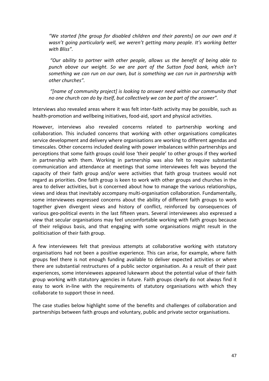*"We started [the group for disabled children and their parents] on our own and it wasn't going particularly well, we weren't getting many people. It's working better with Bliss".*

*"Our ability to partner with other people, allows us the benefit of being able to punch above our weight. So we are part of the Sutton food bank, which isn't something we can run on our own, but is something we can run in partnership with other churches".*

*"[name of community project] is looking to answer need within our community that no one church can do by itself, but collectively we can be part of the answer".*

Interviews also revealed areas where it was felt inter-faith activity may be possible, such as health-promotion and wellbeing initiatives, food-aid, sport and physical activities.

However, interviews also revealed concerns related to partnership working and collaboration. This included concerns that working with other organisations complicates service development and delivery where organisations are working to different agendas and timescales. Other concerns included dealing with power imbalances within partnerships and perceptions that some faith groups could lose 'their people' to other groups if they worked in partnership with them. Working in partnership was also felt to require substantial communication and attendance at meetings that some interviewees felt was beyond the capacity of their faith group and/or were activities that faith group trustees would not regard as priorities. One faith group is keen to work with other groups and churches in the area to deliver activities, but is concerned about how to manage the various relationships, views and ideas that inevitably accompany multi-organisation collaboration. Fundamentally, some interviewees expressed concerns about the ability of different faith groups to work together given divergent views and history of conflict, reinforced by consequences of various geo-political events in the last fifteen years. Several interviewees also expressed a view that secular organisations may feel uncomfortable working with faith groups because of their religious basis, and that engaging with some organisations might result in the politicisation of their faith group.

A few interviewees felt that previous attempts at collaborative working with statutory organisations had not been a positive experience. This can arise, for example, where faith groups feel there is not enough funding available to deliver expected activities or where there are substantial restructures of a public sector organisation. As a result of their past experiences, some interviewees appeared lukewarm about the potential value of their faith group working with statutory agencies in future. Faith groups clearly do not always find it easy to work in-line with the requirements of statutory organisations with which they collaborate to support those in need.

The case studies below highlight some of the benefits and challenges of collaboration and partnerships between faith groups and voluntary, public and private sector organisations.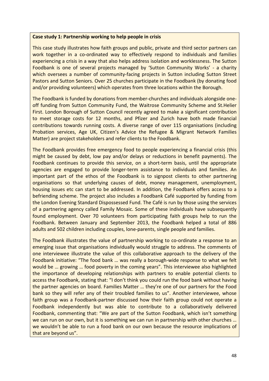#### **Case study 1: Partnership working to help people in crisis**

This case study illustrates how faith groups and public, private and third sector partners can work together in a co-ordinated way to effectively respond to individuals and families experiencing a crisis in a way that also helps address isolation and worklessness. The Sutton Foodbank is one of several projects managed by 'Sutton Community Works' - a charity which oversees a number of community-facing projects in Sutton including Sutton Street Pastors and Sutton Seniors. Over 25 churches participate in the Foodbank (by donating food and/or providing volunteers) which operates from three locations within the Borough.

The Foodbank is funded by donations from member-churches and individuals alongside oneoff funding from Sutton Community Fund, the Waitrose Community Scheme and St.Helier First. London Borough of Sutton Council recently agreed to make a significant contribution to meet storage costs for 12 months, and Pfizer and Zurich have both made financial contributions towards running costs. A diverse range of over 115 organisations (including Probation services, Age UK, Citizen's Advice the Refugee & Migrant Network Families Matter) are project stakeholders and refer clients to the Foodbank.

The Foodbank provides free emergency food to people experiencing a financial crisis (this might be caused by debt, low pay and/or delays or reductions in benefit payments). The Foodbank continues to provide this service, on a short-term basis, until the appropriate agencies are engaged to provide longer-term assistance to individuals and families. An important part of the ethos of the Foodbank is to signpost clients to other partnering organisations so that underlying causes of debt, money management, unemployment, housing issues etc can start to be addressed. In addition, the Foodbank offers access to a befriending scheme. The project also includes a Foodbank Café supported by funding from the London Evening Standard Dispossessed Fund. The Café is run by those using the services of a partnering agency called Family Mosaic. Some of these individuals have subsequently found employment. Over 70 volunteers from participating faith groups help to run the Foodbank. Between January and September 2013, the Foodbank helped a total of 886 adults and 502 children including couples, lone-parents, single people and families.

The Foodbank illustrates the value of partnership working to co-ordinate a response to an emerging issue that organisations individually would struggle to address. The comments of one interviewee illustrate the value of this collaborative approach to the delivery of the Foodbank initiative: "The food bank … was really a borough-wide response to what we felt would be … growing … food poverty in the coming years". This interviewee also highlighted the importance of developing relationships with partners to enable potential clients to access the Foodbank, stating that: "I don't think you could run the food bank without having the partner agencies on board. Families Matter … they're one of our partners for the Food bank so they will refer any of their troubled families to us". Another interviewee, whose faith group was a Foodbank-partner discussed how their faith group could not operate a Foodbank independently but was able to contribute to a collaboratively delivered Foodbank, commenting that: "We are part of the Sutton Foodbank, which isn't something we can run on our own, but it is something we can run in partnership with other churches ... we wouldn't be able to run a food bank on our own because the resource implications of that are beyond us".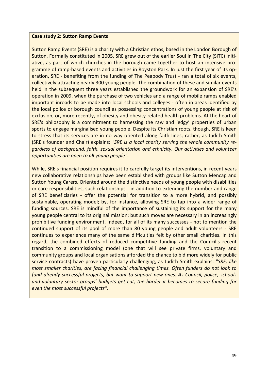#### **Case study 2: Sutton Ramp Events**

Sutton Ramp Events (SRE) is a charity with a Christian ethos, based in the London Borough of Sutton. Formally constituted in 2005, SRE grew out of the earlier Soul In The City (SITC) initiative, as part of which churches in the borough came together to host an intensive programme of ramp-based events and activities in Royston Park. In just the first year of its operation, SRE - benefiting from the funding of The Peabody Trust - ran a total of six events, collectively attracting nearly 300 young people. The combination of these and similar events held in the subsequent three years established the groundwork for an expansion of SRE's operation in 2009, when the purchase of two vehicles and a range of mobile ramps enabled important inroads to be made into local schools and colleges - often in areas identified by the local police or borough council as possessing concentrations of young people at risk of exclusion, or, more recently, of obesity and obesity-related health problems. At the heart of SRE's philosophy is a commitment to harnessing the raw and 'edgy' properties of urban sports to engage marginalised young people. Despite its Christian roots, though, SRE is keen to stress that its services are in no way oriented along faith lines; rather, as Judith Smith (SRE's founder and Chair) explains: *"SRE is a local charity serving the whole community regardless of background, faith, sexual orientation and ethnicity. Our activities and volunteer opportunities are open to all young people"*.

While, SRE's financial position requires it to carefully target its interventions, in recent years new collaborative relationships have been established with groups like Sutton Mencap and Sutton Young Carers. Oriented around the distinctive needs of young people with disabilities or care responsibilities, such relationships - in addition to extending the number and range of SRE beneficiaries - offer the potential for transition to a more hybrid, and possibly sustainable, operating model; by, for instance, allowing SRE to tap into a wider range of funding sources. SRE is mindful of the importance of sustaining its support for the many young people central to its original mission; but such moves are necessary in an increasingly prohibitive funding environment. Indeed, for all of its many successes - not to mention the continued support of its pool of more than 80 young people and adult volunteers - SRE continues to experience many of the same difficulties felt by other small charities. In this regard, the combined effects of reduced competitive funding and the Council's recent transition to a commissioning model (one that will see private firms, voluntary and community groups and local organisations afforded the chance to bid more widely for public service contracts) have proven particularly challenging, as Judith Smith explains: *"SRE, like most smaller charities, are facing financial challenging times. Often funders do not look to fund already successful projects, but want to support new ones. As Council, police, schools and voluntary sector groups' budgets get cut, the harder it becomes to secure funding for even the most successful projects".*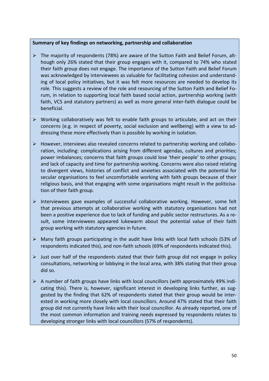#### **Summary of key findings on networking, partnership and collaboration**

- $\triangleright$  The majority of respondents (78%) are aware of the Sutton Faith and Belief Forum, although only 26% stated that their group engages with it, compared to 74% who stated their faith group does not engage. The importance of the Sutton Faith and Belief Forum was acknowledged by interviewees as valuable for facilitating cohesion and understanding of local policy initiatives, but it was felt more resources are needed to develop its role. This suggests a review of the role and resourcing of the Sutton Faith and Belief Forum, in relation to supporting local faith based social action, partnership working (with faith, VCS and statutory partners) as well as more general inter-faith dialogue could be beneficial.
- $\triangleright$  Working collaboratively was felt to enable faith groups to articulate, and act on their concerns (e.g. in respect of poverty, social exclusion and wellbeing) with a view to addressing these more effectively than is possible by working in isolation.
- $\triangleright$  However, interviews also revealed concerns related to partnership working and collaboration, including: complications arising from different agendas, cultures and priorities; power imbalances; concerns that faith groups could lose 'their people' to other groups; and lack of capacity and time for partnership working. Concerns were also raised relating to divergent views, histories of conflict and anxieties associated with the potential for secular organisations to feel uncomfortable working with faith groups because of their religious basis, and that engaging with some organisations might result in the politicisation of their faith group.
- $\triangleright$  Interviewees gave examples of successful collaborative working. However, some felt that previous attempts at collaborative working with statutory organisations had not been a positive experience due to lack of funding and public sector restructures. As a result, some interviewees appeared lukewarm about the potential value of their faith group working with statutory agencies in future.
- $\triangleright$  Many faith groups participating in the audit have links with local faith schools (53% of respondents indicated this), and non-faith schools (69% of respondents indicated this).
- $\triangleright$  Just over half of the respondents stated that their faith group did not engage in policy consultations, networking or lobbying in the local area, with 38% stating that their group did so.
- $\triangleright$  A number of faith groups have links with local councillors (with approximately 49% indicating this). There is, however, significant interest in developing links further, as suggested by the finding that 62% of respondents stated that their group would be interested in working more closely with local councillors. Around 47% stated that their faith group did not currently have links with their local councillor. As already reported, one of the most common information and training needs expressed by respondents relates to developing stronger links with local councillors (57% of respondents).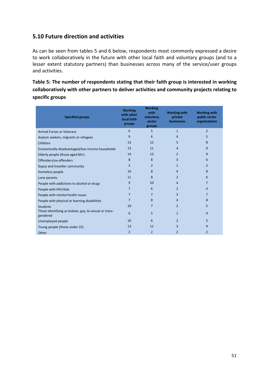## **5.10 Future direction and activities**

As can be seen from tables 5 and 6 below, respondents most commonly expressed a desire to work collaboratively in the future with other local faith and voluntary groups (and to a lesser extent statutory partners) than businesses across many of the service/user groups and activities.

**Table 5: The number of respondents stating that their faith group is interested in working collaboratively with other partners to deliver activities and community projects relating to specific groups**

| <b>Specified groups</b>                                            | <b>Working</b><br>with other<br>local faith<br>groups | <b>Working</b><br>with<br>voluntary<br>sector<br>groups | <b>Working with</b><br>private<br>businesses | <b>Working with</b><br>public sector<br>organisations |
|--------------------------------------------------------------------|-------------------------------------------------------|---------------------------------------------------------|----------------------------------------------|-------------------------------------------------------|
| <b>Armed Forces or Veterans</b>                                    | 6                                                     | 5                                                       | $\mathbf{1}$                                 | $\overline{2}$                                        |
| Asylum seekers, migrants or refugees                               | 9                                                     | 6                                                       | $\overline{4}$                               | 5                                                     |
| Children                                                           | 13                                                    | 12                                                      | 5                                            | 8                                                     |
| Economically disadvantaged/low income households                   | 13                                                    | 11                                                      | 4                                            | 9                                                     |
| Elderly people (those aged 60+)                                    | 14                                                    | 13                                                      | 2                                            | 9                                                     |
| Offenders/ex-offenders                                             | 8                                                     | 8                                                       | 3                                            | 6                                                     |
| Gypsy and traveller community                                      | 3                                                     | 2                                                       | $\mathbf{1}$                                 | $\overline{2}$                                        |
| Homeless people                                                    | 10                                                    | 8                                                       | 4                                            | 8                                                     |
| Lone parents                                                       | 11                                                    | 8                                                       | 2                                            | 6                                                     |
| People with addictions to alcohol or drugs                         | 9                                                     | 10                                                      | $\overline{4}$                               | $\overline{7}$                                        |
| People with HIV/Aids                                               | $\overline{7}$                                        | 6                                                       | 2                                            | 4                                                     |
| People with mental health issues                                   | $\overline{7}$                                        | $\overline{7}$                                          | 3                                            | 7                                                     |
| People with physical or learning disabilities                      | $\overline{7}$                                        | 8                                                       | 4                                            | 8                                                     |
| <b>Students</b>                                                    | 10                                                    | 7                                                       | 2                                            | 5                                                     |
| Those identifying as lesbian, gay, bi-sexual or trans-<br>gendered | 6                                                     | 5                                                       | $\mathbf{1}$                                 | 4                                                     |
| Unemployed people                                                  | 10                                                    | 6                                                       | 2                                            | 5                                                     |
| Young people (those under 25)                                      | 13                                                    | 11                                                      | 3                                            | 9                                                     |
| Other                                                              | 2                                                     | $\overline{2}$                                          | 2                                            | 2                                                     |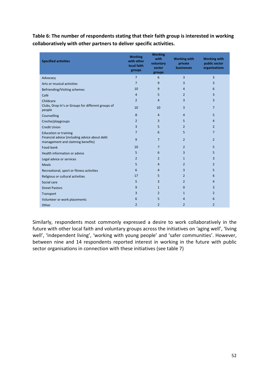**Table 6: The number of respondents stating that their faith group is interested in working collaboratively with other partners to deliver specific activities.**

| <b>Specified activities</b>                                                        | <b>Working</b><br>with other<br>local faith<br>groups | <b>Working</b><br>with<br>voluntary<br>sector<br>groups | <b>Working with</b><br>private<br>businesses | <b>Working with</b><br>public sector<br>organisations |
|------------------------------------------------------------------------------------|-------------------------------------------------------|---------------------------------------------------------|----------------------------------------------|-------------------------------------------------------|
| Advocacy                                                                           | $\overline{7}$                                        | 6                                                       | 3                                            | 3                                                     |
| Arts or musical activities                                                         | $\overline{7}$                                        | 9                                                       | 3                                            | 3                                                     |
| Befriending/Visiting schemes                                                       | 10                                                    | 9                                                       | $\overline{4}$                               | 6                                                     |
| Café                                                                               | $\overline{4}$                                        | 5                                                       | $\overline{2}$                               | 3                                                     |
| Childcare                                                                          | $\overline{2}$                                        | 4                                                       | 3                                            | 3                                                     |
| Clubs, Drop In's or Groups for different groups of<br>people                       | 10                                                    | 10                                                      | 3                                            | $\overline{7}$                                        |
| Counselling                                                                        | 8                                                     | $\overline{4}$                                          | 4                                            | 5                                                     |
| Creche/playgroups                                                                  | $\overline{2}$                                        | 3                                                       | 5                                            | 4                                                     |
| <b>Credit Union</b>                                                                | 3                                                     | 5                                                       | 2                                            | 2                                                     |
| <b>Education or training</b>                                                       | $\overline{7}$                                        | 6                                                       | 5                                            | $\overline{7}$                                        |
| Financial advice (including advice about debt<br>management and claiming benefits) | 9                                                     | $\overline{7}$                                          | $\overline{2}$                               | $\overline{2}$                                        |
| Food-bank                                                                          | 10                                                    | $\overline{7}$                                          | 2                                            | 5                                                     |
| Health information or advice                                                       | 5                                                     | 6                                                       | 3                                            | 5                                                     |
| Legal advice or services                                                           | $\overline{2}$                                        | $\overline{2}$                                          | $\mathbf{1}$                                 | 3                                                     |
| <b>Meals</b>                                                                       | 5                                                     | $\overline{4}$                                          | 2                                            | $\overline{2}$                                        |
| Recreational, sport or fitness activities                                          | 6                                                     | $\overline{4}$                                          | 3                                            | 5                                                     |
| Religious or cultural activities                                                   | 17                                                    | 5                                                       | 2                                            | 6                                                     |
| Social care                                                                        | 5                                                     | 3                                                       | $\overline{2}$                               | 4                                                     |
| <b>Street Pastors</b>                                                              | 9                                                     | $\mathbf{1}$                                            | 0                                            | 3                                                     |
| Transport                                                                          | 3                                                     | $\overline{2}$                                          | 1                                            | $\overline{2}$                                        |
| Volunteer or work placements                                                       | 6                                                     | 5                                                       | 4                                            | 6                                                     |
| Other                                                                              | $\overline{2}$                                        | $\overline{2}$                                          | $\overline{2}$                               | $\overline{2}$                                        |

Similarly, respondents most commonly expressed a desire to work collaboratively in the future with other local faith and voluntary groups across the initiatives on 'aging well', 'living well', 'independent living', 'working with young people' and 'safer communities'. However, between nine and 14 respondents reported interest in working in the future with public sector organisations in connection with these initiatives (see table 7)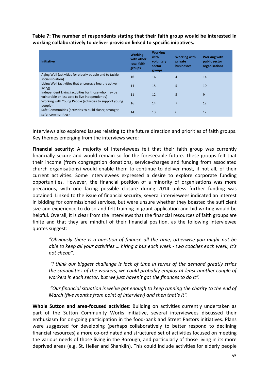**Table 7: The number of respondents stating that their faith group would be interested in working collaboratively to deliver provision linked to specific initiatives.**

| <b>Initiative</b>                                                                                     | <b>Working</b><br>with other<br>local faith<br>groups | <b>Working</b><br>with<br>voluntary<br>sector<br>groups | <b>Working with</b><br>private<br><b>businesses</b> | <b>Working with</b><br>public sector<br>organisations |
|-------------------------------------------------------------------------------------------------------|-------------------------------------------------------|---------------------------------------------------------|-----------------------------------------------------|-------------------------------------------------------|
| Aging Well (activities for elderly people and to tackle<br>social isolation)                          | 16                                                    | 16                                                      | $\overline{4}$                                      | 14                                                    |
| Living Well (activities that encourage healthy active<br>living)                                      | 14                                                    | 15                                                      | 5                                                   | 10                                                    |
| Independent Living (activities for those who may be<br>vulnerable or less able to live independently) | 11                                                    | 12                                                      | 5                                                   | 9                                                     |
| Working with Young People (activities to support young<br>people)                                     | 16                                                    | 14                                                      | 7                                                   | 12                                                    |
| Safe Communities (activities to build closer, stronger,<br>safer communities)                         | 14                                                    | 13                                                      | 6                                                   | 12                                                    |

Interviews also explored issues relating to the future direction and priorities of faith groups. Key themes emerging from the interviews were:

**Financial security:** A majority of interviewees felt that their faith group was currently financially secure and would remain so for the foreseeable future. These groups felt that their income (from congregation donations, service-charges and funding from associated church organisations) would enable them to continue to deliver most, if not all, of their current activities. Some interviewees expressed a desire to explore corporate funding opportunities. However, the financial position of a minority of organisations was more precarious, with one facing possible closure during 2014 unless further funding was obtained. Linked to the issue of financial security, several interviewees indicated an interest in bidding for commissioned services, but were unsure whether they boasted the sufficient size and experience to do so and felt training in grant application and bid writing would be helpful. Overall, it is clear from the interviews that the financial resources of faith groups are finite and that they are mindful of their financial position, as the following interviewee quotes suggest:

*"Obviously there is a question of finance all the time, otherwise you might not be able to keep all your activities … hiring a bus each week - two coaches each week, it's not cheap".*

*"I think our biggest challenge is lack of time in terms of the demand greatly strips the capabilities of the workers, we could probably employ at least another couple of workers in each sector, but we just haven't got the finances to do it".*

*"Our financial situation is we've got enough to keep running the charity to the end of March (five months from point of interview) and then that's it".*

**Whole Sutton and area-focused activities:** Building on activities currently undertaken as part of the Sutton Community Works initiative, several interviewees discussed their enthusiasm for on-going participation in the food-bank and Street Pastors initiatives. Plans were suggested for developing (perhaps collaboratively to better respond to declining financial resources) a more co-ordinated and structured set of activities focused on meeting the various needs of those living in the Borough, and particularly of those living in its more deprived areas (e.g. St. Helier and Shanklin). This could include activities for elderly people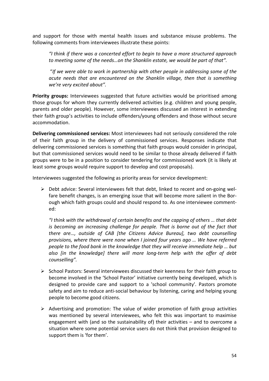and support for those with mental health issues and substance misuse problems. The following comments from interviewees illustrate these points:

*"I think if there was a concerted effort to begin to have a more structured approach to meeting some of the needs…on the Shanklin estate, we would be part of that".*

"*If we were able to work in partnership with other people in addressing some of the acute needs that are encountered on the Shanklin village, then that is something we're very excited about".*

Priority groups: Interviewees suggested that future activities would be prioritised among those groups for whom they currently delivered activities (e.g. children and young people, parents and older people). However, some interviewees discussed an interest in extending their faith group's activities to include offenders/young offenders and those without secure accommodation.

**Delivering commissioned services:** Most interviewees had not seriously considered the role of their faith group in the delivery of commissioned services. Responses indicate that delivering commissioned services is something that faith groups would consider in principal, but that commissioned services would need to be similar to those already delivered if faith groups were to be in a position to consider tendering for commissioned work (it is likely at least some groups would require support to develop and cost proposals).

Interviewees suggested the following as priority areas for service development:

 $\triangleright$  Debt advice: Several interviewees felt that debt, linked to recent and on-going welfare benefit changes, is an emerging issue that will become more salient in the Borough which faith groups could and should respond to. As one interviewee commented:

*"I think with the withdrawal of certain benefits and the capping of others … that debt is becoming an increasing challenge for people. That is borne out of the fact that there are…, outside of CAB [the Citizens Advice Bureau], two debt counselling provisions, where there were none when I joined four years ago … We have referred people to the food bank in the knowledge that they will receive immediate help … but also [in the knowledge] there will more long-term help with the offer of debt counselling".*

- $\triangleright$  School Pastors: Several interviewees discussed their keenness for their faith group to become involved in the 'School Pastor' initiative currently being developed, which is designed to provide care and support to a 'school community'. Pastors promote safety and aim to reduce anti-social behaviour by listening, caring and helping young people to become good citizens.
- $\triangleright$  Advertising and promotion: The value of wider promotion of faith group activities was mentioned by several interviewees, who felt this was important to maximise engagement with (and so the sustainability of) their activities – and to overcome a situation where some potential service users do not think that provision designed to support them is 'for them'.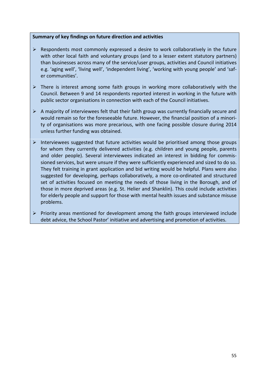#### **Summary of key findings on future direction and activities**

- $\triangleright$  Respondents most commonly expressed a desire to work collaboratively in the future with other local faith and voluntary groups (and to a lesser extent statutory partners) than businesses across many of the service/user groups, activities and Council initiatives e.g. 'aging well', 'living well', 'independent living', 'working with young people' and 'safer communities'.
- $\triangleright$  There is interest among some faith groups in working more collaboratively with the Council. Between 9 and 14 respondents reported interest in working in the future with public sector organisations in connection with each of the Council initiatives.
- $\triangleright$  A majority of interviewees felt that their faith group was currently financially secure and would remain so for the foreseeable future. However, the financial position of a minority of organisations was more precarious, with one facing possible closure during 2014 unless further funding was obtained.
- $\triangleright$  Interviewees suggested that future activities would be prioritised among those groups for whom they currently delivered activities (e.g. children and young people, parents and older people). Several interviewees indicated an interest in bidding for commissioned services, but were unsure if they were sufficiently experienced and sized to do so. They felt training in grant application and bid writing would be helpful. Plans were also suggested for developing, perhaps collaboratively, a more co-ordinated and structured set of activities focused on meeting the needs of those living in the Borough, and of those in more deprived areas (e.g. St. Helier and Shanklin). This could include activities for elderly people and support for those with mental health issues and substance misuse problems.
- $\triangleright$  Priority areas mentioned for development among the faith groups interviewed include debt advice, the School Pastor' initiative and advertising and promotion of activities.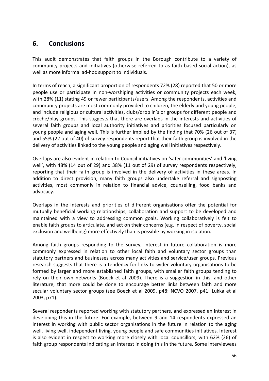## **6. Conclusions**

This audit demonstrates that faith groups in the Borough contribute to a variety of community projects and initiatives (otherwise referred to as faith based social action), as well as more informal ad-hoc support to individuals.

In terms of reach, a significant proportion of respondents 72% (28) reported that 50 or more people use or participate in non-worshiping activities or community projects each week, with 28% (11) stating 49 or fewer participants/users. Among the respondents, activities and community projects are most commonly provided to children, the elderly and young people, and include religious or cultural activities, clubs/drop in's or groups for different people and crèche/play groups. This suggests that there are overlaps in the interests and activities of several faith groups and local authority initiatives and priorities focused particularly on young people and aging well. This is further implied by the finding that 70% (26 out of 37) and 55% (22 out of 40) of survey respondents report that their faith group is involved in the delivery of activities linked to the young people and aging well initiatives respectively.

Overlaps are also evident in relation to Council initiatives on 'safer communities' and 'living well', with 48% (14 out of 29) and 38% (11 out of 29) of survey respondents respectively, reporting that their faith group is involved in the delivery of activities in these areas. In addition to direct provision, many faith groups also undertake referral and signposting activities, most commonly in relation to financial advice, counselling, food banks and advocacy.

Overlaps in the interests and priorities of different organisations offer the potential for mutually beneficial working relationships, collaboration and support to be developed and maintained with a view to addressing common goals. Working collaboratively is felt to enable faith groups to articulate, and act on their concerns (e.g. in respect of poverty, social exclusion and wellbeing) more effectively than is possible by working in isolation.

Among faith groups responding to the survey, interest in future collaboration is more commonly expressed in relation to other local faith and voluntary sector groups than statutory partners and businesses across many activities and service/user groups. Previous research suggests that there is a tendency for links to wider voluntary organisations to be formed by larger and more established faith groups, with smaller faith groups tending to rely on their own networks (Boeck et al 2009). There is a suggestion in this, and other literature, that more could be done to encourage better links between faith and more secular voluntary sector groups (see Boeck et al 2009, p48; NCVO 2007, p41; Lukka et al 2003, p71).

Several respondents reported working with statutory partners, and expressed an interest in developing this in the future. For example, between 9 and 14 respondents expressed an interest in working with public sector organisations in the future in relation to the aging well, living well, independent living, young people and safe communities initiatives. Interest is also evident in respect to working more closely with local councillors, with 62% (26) of faith group respondents indicating an interest in doing this in the future. Some interviewees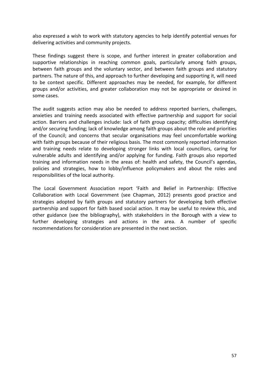also expressed a wish to work with statutory agencies to help identify potential venues for delivering activities and community projects.

These findings suggest there is scope, and further interest in greater collaboration and supportive relationships in reaching common goals, particularly among faith groups, between faith groups and the voluntary sector, and between faith groups and statutory partners. The nature of this, and approach to further developing and supporting it, will need to be context specific. Different approaches may be needed, for example, for different groups and/or activities, and greater collaboration may not be appropriate or desired in some cases.

The audit suggests action may also be needed to address reported barriers, challenges, anxieties and training needs associated with effective partnership and support for social action. Barriers and challenges include: lack of faith group capacity; difficulties identifying and/or securing funding; lack of knowledge among faith groups about the role and priorities of the Council; and concerns that secular organisations may feel uncomfortable working with faith groups because of their religious basis. The most commonly reported information and training needs relate to developing stronger links with local councillors, caring for vulnerable adults and identifying and/or applying for funding. Faith groups also reported training and information needs in the areas of: health and safety, the Council's agendas, policies and strategies, how to lobby/influence policymakers and about the roles and responsibilities of the local authority.

The Local Government Association report 'Faith and Belief in Partnership: Effective Collaboration with Local Government (see Chapman, 2012) presents good practice and strategies adopted by faith groups and statutory partners for developing both effective partnership and support for faith based social action. It may be useful to review this, and other guidance (see the bibliography), with stakeholders in the Borough with a view to further developing strategies and actions in the area. A number of specific recommendations for consideration are presented in the next section.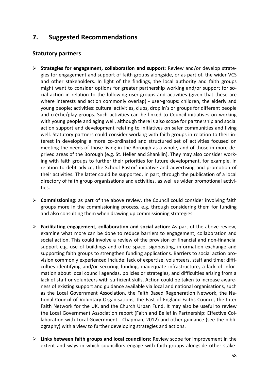## **7. Suggested Recommendations**

## **Statutory partners**

- **Strategies for engagement, collaboration and support**: Review and/or develop strategies for engagement and support of faith groups alongside, or as part of, the wider VCS and other stakeholders. In light of the findings, the local authority and faith groups might want to consider options for greater partnership working and/or support for social action in relation to the following user-groups and activities (given that these are where interests and action commonly overlap) - user-groups: children, the elderly and young people; activities: cultural activities, clubs, drop in's or groups for different people and crèche/play groups. Such activities can be linked to Council initiatives on working with young people and aging well, although there is also scope for partnership and social action support and development relating to initiatives on safer communities and living well. Statutory partners could consider working with faith groups in relation to their interest in developing a more co-ordinated and structured set of activities focused on meeting the needs of those living in the Borough as a whole, and of those in more deprived areas of the Borough (e.g. St. Helier and Shanklin). They may also consider working with faith groups to further their priorities for future development, for example, in relation to debt advice, the School Pastor' initiative and advertising and promotion of their activities. The latter could be supported, in part, through the publication of a local directory of faith group organisations and activities, as well as wider promotional activities.
- **Commissioning**: as part of the above review, the Council could consider involving faith groups more in the commissioning process, e.g. through considering them for funding and also consulting them when drawing up commissioning strategies.
- **Facilitating engagement, collaboration and social action**: As part of the above review, examine what more can be done to reduce barriers to engagement, collaboration and social action. This could involve a review of the provision of financial and non-financial support e.g. use of buildings and office space, signposting, information exchange and supporting faith groups to strengthen funding applications. Barriers to social action provision commonly experienced include: lack of expertise, volunteers, staff and time; difficulties identifying and/or securing funding, inadequate infrastructure, a lack of information about local council agendas, policies or strategies, and difficulties arising from a lack of staff or volunteers with sufficient skills. Action could be taken to increase awareness of existing support and guidance available via local and national organisations, such as the Local Government Association, the Faith Based Regeneration Network, the National Council of Voluntary Organisations, the East of England Faiths Council, the Inter Faith Network for the UK, and the Church Urban Fund. It may also be useful to review the Local Government Association report (Faith and Belief in Partnership: Effective Collaboration with Local Government - Chapman, 2012) and other guidance (see the bibliography) with a view to further developing strategies and actions.
- **Links between faith groups and local councillors**: Review scope for improvement in the extent and ways in which councillors engage with faith groups alongside other stake-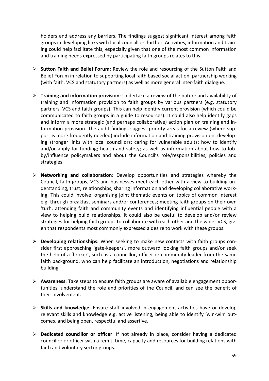holders and address any barriers. The findings suggest significant interest among faith groups in developing links with local councillors further. Activities, information and training could help facilitate this, especially given that one of the most common information and training needs expressed by participating faith groups relates to this.

- **Sutton Faith and Belief Forum**: Review the role and resourcing of the Sutton Faith and Belief Forum in relation to supporting local faith based social action, partnership working (with faith, VCS and statutory partners) as well as more general inter-faith dialogue.
- **Training and information provision**: Undertake a review of the nature and availability of training and information provision to faith groups by various partners (e.g. statutory partners, VCS and faith groups). This can help identify current provision (which could be communicated to faith groups in a guide to resources). It could also help identify gaps and inform a more strategic (and perhaps collaborative) action plan on training and information provision. The audit findings suggest priority areas for a review (where support is more frequently needed) include information and training provision on: developing stronger links with local councillors; caring for vulnerable adults; how to identify and/or apply for funding; health and safety; as well as information about how to lobby/influence policymakers and about the Council's role/responsibilities, policies and strategies.
- **Networking and collaboration**: Develop opportunities and strategies whereby the Council, faith groups, VCS and businesses meet each other with a view to building understanding, trust, relationships, sharing information and developing collaborative working. This could involve: organising joint thematic events on topics of common interest e.g. through breakfast seminars and/or conferences; meeting faith groups on their own 'turf', attending faith and community events and identifying influential people with a view to helping build relationships. It could also be useful to develop and/or review strategies for helping faith groups to collaborate with each other and the wider VCS, given that respondents most commonly expressed a desire to work with these groups.
- **Developing relationships:** When seeking to make new contacts with faith groups consider first approaching 'gate-keepers', more outward looking faith groups and/or seek the help of a 'broker', such as a councillor, officer or community leader from the same faith background, who can help facilitate an introduction, negotiations and relationship building.
- **Awareness**: Take steps to ensure faith groups are aware of available engagement opportunities, understand the role and priorities of the Council, and can see the benefit of their involvement.
- **Skills and knowledge**: Ensure staff involved in engagement activities have or develop relevant skills and knowledge e.g. active listening, being able to identify 'win-win' outcomes, and being open, respectful and assertive.
- **Dedicated councillor or officer**: If not already in place, consider having a dedicated councillor or officer with a remit, time, capacity and resources for building relations with faith and voluntary sector groups.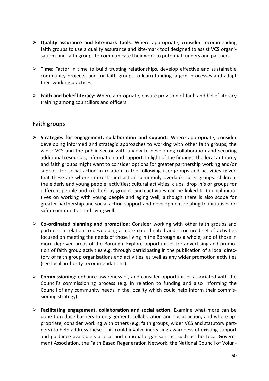- **Quality assurance and kite-mark tools**: Where appropriate, consider recommending faith groups to use a quality assurance and kite-mark tool designed to assist VCS organisations and faith groups to communicate their work to potential funders and partners.
- **Time**: Factor in time to build trusting relationships, develop effective and sustainable community projects, and for faith groups to learn funding jargon, processes and adapt their working practices.
- **Faith and belief literacy**: Where appropriate, ensure provision of faith and belief literacy training among councillors and officers.

## **Faith groups**

- **Strategies for engagement, collaboration and support**: Where appropriate, consider developing informed and strategic approaches to working with other faith groups, the wider VCS and the public sector with a view to developing collaboration and securing additional resources, information and support. In light of the findings, the local authority and faith groups might want to consider options for greater partnership working and/or support for social action in relation to the following user-groups and activities (given that these are where interests and action commonly overlap) - user-groups: children, the elderly and young people; activities: cultural activities, clubs, drop in's or groups for different people and crèche/play groups. Such activities can be linked to Council initiatives on working with young people and aging well, although there is also scope for greater partnership and social action support and development relating to initiatives on safer communities and living well.
- **Co-ordinated planning and promotion**: Consider working with other faith groups and partners in relation to developing a more co-ordinated and structured set of activities focused on meeting the needs of those living in the Borough as a whole, and of those in more deprived areas of the Borough. Explore opportunities for advertising and promotion of faith group activities e.g. through participating in the publication of a local directory of faith group organisations and activities, as well as any wider promotion activities (see local authority recommendations).
- **Commissioning**: enhance awareness of, and consider opportunities associated with the Council's commissioning process (e.g. in relation to funding and also informing the Council of any community needs in the locality which could help inform their commissioning strategy).
- **Facilitating engagement, collaboration and social action**: Examine what more can be done to reduce barriers to engagement, collaboration and social action, and where appropriate, consider working with others (e.g. faith groups, wider VCS and statutory partners) to help address these. This could involve increasing awareness of existing support and guidance available via local and national organisations, such as the Local Government Association, the Faith Based Regeneration Network, the National Council of Volun-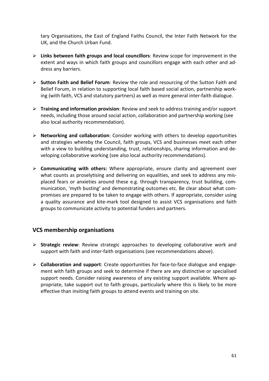tary Organisations, the East of England Faiths Council, the Inter Faith Network for the UK, and the Church Urban Fund.

- **Links between faith groups and local councillors**: Review scope for improvement in the extent and ways in which faith groups and councillors engage with each other and address any barriers.
- **Sutton Faith and Belief Forum**: Review the role and resourcing of the Sutton Faith and Belief Forum, in relation to supporting local faith based social action, partnership working (with faith, VCS and statutory partners) as well as more general inter-faith dialogue.
- **Training and information provision**: Review and seek to address training and/or support needs, including those around social action, collaboration and partnership working (see also local authority recommendation).
- **Networking and collaboration**: Consider working with others to develop opportunities and strategies whereby the Council, faith groups, VCS and businesses meet each other with a view to building understanding, trust, relationships, sharing information and developing collaborative working (see also local authority recommendations).
- **Communicating with others:** Where appropriate, ensure clarity and agreement over what counts as proselytising and delivering on equalities, and seek to address any misplaced fears or anxieties around these e.g. through transparency, trust building, communication, 'myth busting' and demonstrating outcomes etc. Be clear about what compromises are prepared to be taken to engage with others. If appropriate, consider using a quality assurance and kite-mark tool designed to assist VCS organisations and faith groups to communicate activity to potential funders and partners.

## **VCS membership organisations**

- **Strategic review**: Review strategic approaches to developing collaborative work and support with faith and inter-faith organisations (see recommendations above).
- **Collaboration and support**: Create opportunities for face-to-face dialogue and engagement with faith groups and seek to determine if there are any distinctive or specialised support needs. Consider raising awareness of any existing support available. Where appropriate, take support out to faith groups, particularly where this is likely to be more effective than inviting faith groups to attend events and training on site.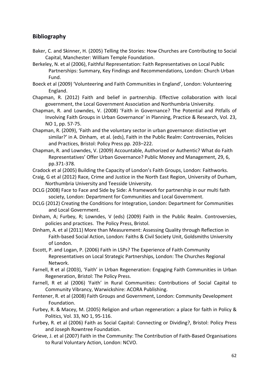## **Bibliography**

- Baker, C. and Skinner, H. (2005) Telling the Stories: How Churches are Contributing to Social Capital, Manchester: William Temple Foundation.
- Berkeley, N. et al (2006), Faithful Representation: Faith Representatives on Local Public Partnerships: Summary, Key Findings and Recommendations, London: Church Urban Fund.
- Boeck et al (2009) 'Volunteering and Faith Communities in England', London: Volunteering England.
- Chapman, R. (2012) Faith and belief in partnership. Effective collaboration with local government, the Local Government Association and Northumbria University.
- Chapman, R. and Lowndes, V. (2008) 'Faith in Governance? The Potential and Pitfalls of Involving Faith Groups in Urban Governance' in Planning, Practice & Research, Vol. 23, NO 1, pp. 57-75.
- Chapman, R. (2009), 'Faith and the voluntary sector in urban governance: distinctive yet similar?' in A. Dinham, et al. (eds), Faith in the Public Realm: Controversies, Policies and Practices, Bristol: Policy Press pp. 203–222.
- Chapman, R. and Lowndes, V. (2009) Accountable, Authorized or Authentic? What do Faith Representatives' Offer Urban Governance? Public Money and Management, 29, 6, pp.371-378.
- Cradock et al (2005) Building the Capacity of London's Faith Groups, London: Faithworks.
- Craig, G et al (2012) Race, Crime and Justice in the North East Region, University of Durham, Northumbria University and Teesside University.
- DCLG (2008) Face to Face and Side by Side: A framework for partnership in our multi faith society, London: Department for Communities and Local Government.
- DCLG (2012) Creating the Conditions for Integration, London: Department for Communities and Local Government.
- Dinham, A; Furbey, R; Lowndes, V (eds) (2009) Faith in the Public Realm. Controversies, policies and practices. The Policy Press, Bristol.
- Dinham, A. et al (2011) More than Measurement: Assessing Quality through Reflection in Faith-based Social Action, London: Faiths & Civil Society Unit, Goldsmiths University of London.
- Escott, P. and Logan, P. (2006) Faith in LSPs? The Experience of Faith Community Representatives on Local Strategic Partnerships, London: The Churches Regional Network.
- Farnell, R et al (2003), 'Faith' in Urban Regeneration: Engaging Faith Communities in Urban Regeneration, Bristol: The Policy Press.
- Farnell, R et al (2006) 'Faith' in Rural Communities: Contributions of Social Capital to Community Vibrancy, Warwickshire: ACORA Publishing.
- Fentener, R. et al (2008) Faith Groups and Government, London: Community Development Foundation.
- Furbey, R. & Macey, M. (2005) Religion and urban regeneration: a place for faith in Policy & Politics, Vol. 33, NO 1, 95-116.
- Furbey, R. et al (2006) Faith as Social Capital: Connecting or Dividing?, Bristol: Policy Press and Joseph Rowntree Foundation.
- Grieve, J. et al (2007) Faith in the Community: The Contribution of Faith-Based Organisations to Rural Voluntary Action, London: NCVO.